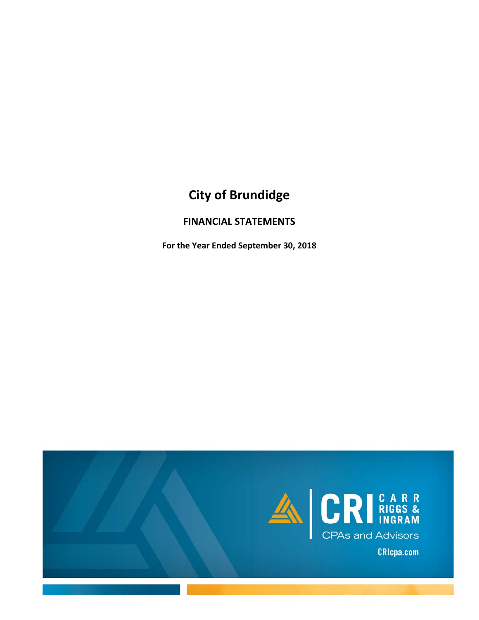# **City of Brundidge**

# **FINANCIAL STATEMENTS**

**For the Year Ended September 30, 2018**

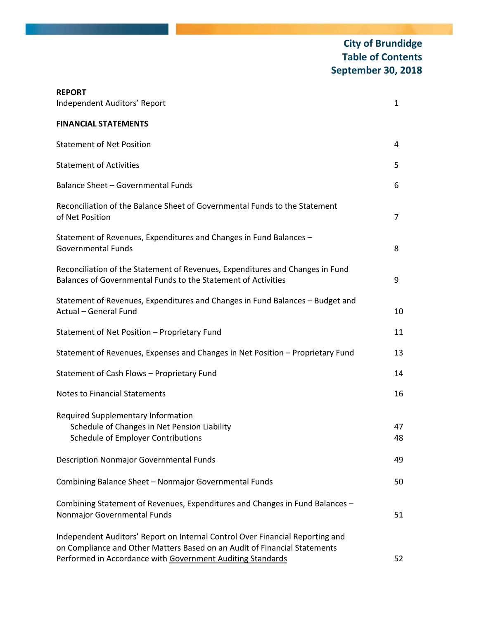# **City of Brundidge Table of Contents September 30, 2018**

| <b>REPORT</b><br>Independent Auditors' Report                                                                                                                                                                            | 1              |
|--------------------------------------------------------------------------------------------------------------------------------------------------------------------------------------------------------------------------|----------------|
| <b>FINANCIAL STATEMENTS</b>                                                                                                                                                                                              |                |
| <b>Statement of Net Position</b>                                                                                                                                                                                         | 4              |
| <b>Statement of Activities</b>                                                                                                                                                                                           | 5              |
| Balance Sheet - Governmental Funds                                                                                                                                                                                       | 6              |
| Reconciliation of the Balance Sheet of Governmental Funds to the Statement<br>of Net Position                                                                                                                            | $\overline{7}$ |
| Statement of Revenues, Expenditures and Changes in Fund Balances -<br><b>Governmental Funds</b>                                                                                                                          | 8              |
| Reconciliation of the Statement of Revenues, Expenditures and Changes in Fund<br>Balances of Governmental Funds to the Statement of Activities                                                                           | 9              |
| Statement of Revenues, Expenditures and Changes in Fund Balances - Budget and<br>Actual - General Fund                                                                                                                   | 10             |
| Statement of Net Position - Proprietary Fund                                                                                                                                                                             | 11             |
| Statement of Revenues, Expenses and Changes in Net Position - Proprietary Fund                                                                                                                                           | 13             |
| Statement of Cash Flows - Proprietary Fund                                                                                                                                                                               | 14             |
| <b>Notes to Financial Statements</b>                                                                                                                                                                                     | 16             |
| Required Supplementary Information<br>Schedule of Changes in Net Pension Liability<br><b>Schedule of Employer Contributions</b>                                                                                          | 47<br>48       |
| <b>Description Nonmajor Governmental Funds</b>                                                                                                                                                                           | 49             |
| Combining Balance Sheet - Nonmajor Governmental Funds                                                                                                                                                                    | 50             |
| Combining Statement of Revenues, Expenditures and Changes in Fund Balances -<br>Nonmajor Governmental Funds                                                                                                              | 51             |
| Independent Auditors' Report on Internal Control Over Financial Reporting and<br>on Compliance and Other Matters Based on an Audit of Financial Statements<br>Performed in Accordance with Government Auditing Standards | 52             |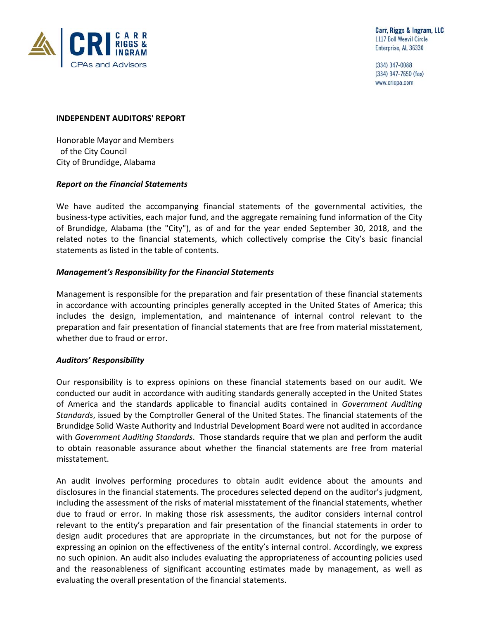

Carr, Riggs & Ingram, LLC 1117 Boll Weevil Circle Enterprise, AL 36330

(334) 347-0088 (334) 347-7650 (fax) www.cricpa.com

### **INDEPENDENT AUDITORS' REPORT**

Honorable Mayor and Members of the City Council City of Brundidge, Alabama

#### *Report on the Financial Statements*

We have audited the accompanying financial statements of the governmental activities, the business‐type activities, each major fund, and the aggregate remaining fund information of the City of Brundidge, Alabama (the "City"), as of and for the year ended September 30, 2018, and the related notes to the financial statements, which collectively comprise the City's basic financial statements as listed in the table of contents.

#### *Management's Responsibility for the Financial Statements*

Management is responsible for the preparation and fair presentation of these financial statements in accordance with accounting principles generally accepted in the United States of America; this includes the design, implementation, and maintenance of internal control relevant to the preparation and fair presentation of financial statements that are free from material misstatement, whether due to fraud or error.

### *Auditors' Responsibility*

Our responsibility is to express opinions on these financial statements based on our audit. We conducted our audit in accordance with auditing standards generally accepted in the United States of America and the standards applicable to financial audits contained in *Government Auditing Standards*, issued by the Comptroller General of the United States. The financial statements of the Brundidge Solid Waste Authority and Industrial Development Board were not audited in accordance with *Government Auditing Standards*. Those standards require that we plan and perform the audit to obtain reasonable assurance about whether the financial statements are free from material misstatement.

An audit involves performing procedures to obtain audit evidence about the amounts and disclosures in the financial statements. The procedures selected depend on the auditor's judgment, including the assessment of the risks of material misstatement of the financial statements, whether due to fraud or error. In making those risk assessments, the auditor considers internal control relevant to the entity's preparation and fair presentation of the financial statements in order to design audit procedures that are appropriate in the circumstances, but not for the purpose of expressing an opinion on the effectiveness of the entity's internal control. Accordingly, we express no such opinion. An audit also includes evaluating the appropriateness of accounting policies used and the reasonableness of significant accounting estimates made by management, as well as evaluating the overall presentation of the financial statements.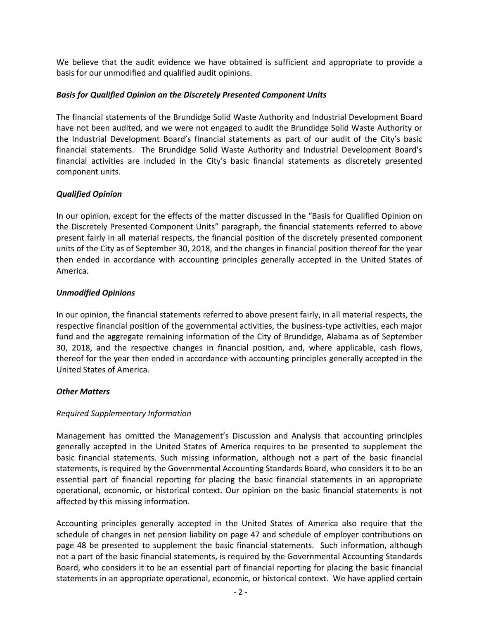We believe that the audit evidence we have obtained is sufficient and appropriate to provide a basis for our unmodified and qualified audit opinions.

# *Basis for Qualified Opinion on the Discretely Presented Component Units*

The financial statements of the Brundidge Solid Waste Authority and Industrial Development Board have not been audited, and we were not engaged to audit the Brundidge Solid Waste Authority or the Industrial Development Board's financial statements as part of our audit of the City's basic financial statements. The Brundidge Solid Waste Authority and Industrial Development Board's financial activities are included in the City's basic financial statements as discretely presented component units.

# *Qualified Opinion*

In our opinion, except for the effects of the matter discussed in the "Basis for Qualified Opinion on the Discretely Presented Component Units" paragraph, the financial statements referred to above present fairly in all material respects, the financial position of the discretely presented component units of the City as of September 30, 2018, and the changes in financial position thereof for the year then ended in accordance with accounting principles generally accepted in the United States of America.

# *Unmodified Opinions*

In our opinion, the financial statements referred to above present fairly, in all material respects, the respective financial position of the governmental activities, the business-type activities, each major fund and the aggregate remaining information of the City of Brundidge, Alabama as of September 30, 2018, and the respective changes in financial position, and, where applicable, cash flows, thereof for the year then ended in accordance with accounting principles generally accepted in the United States of America.

# *Other Matters*

# *Required Supplementary Information*

Management has omitted the Management's Discussion and Analysis that accounting principles generally accepted in the United States of America requires to be presented to supplement the basic financial statements. Such missing information, although not a part of the basic financial statements, is required by the Governmental Accounting Standards Board, who considers it to be an essential part of financial reporting for placing the basic financial statements in an appropriate operational, economic, or historical context. Our opinion on the basic financial statements is not affected by this missing information.

Accounting principles generally accepted in the United States of America also require that the schedule of changes in net pension liability on page 47 and schedule of employer contributions on page 48 be presented to supplement the basic financial statements. Such information, although not a part of the basic financial statements, is required by the Governmental Accounting Standards Board, who considers it to be an essential part of financial reporting for placing the basic financial statements in an appropriate operational, economic, or historical context. We have applied certain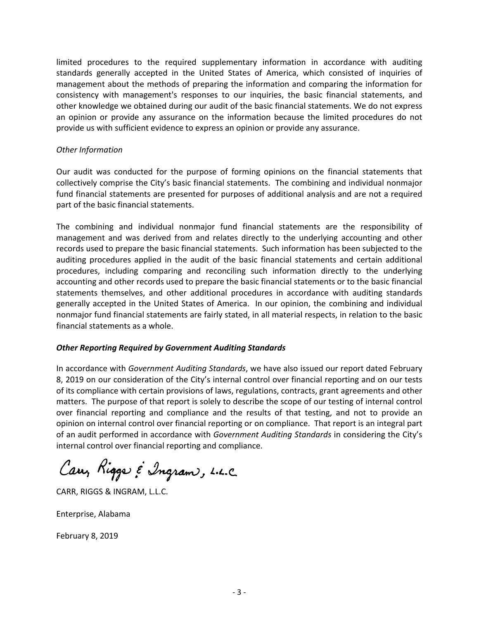limited procedures to the required supplementary information in accordance with auditing standards generally accepted in the United States of America, which consisted of inquiries of management about the methods of preparing the information and comparing the information for consistency with management's responses to our inquiries, the basic financial statements, and other knowledge we obtained during our audit of the basic financial statements. We do not express an opinion or provide any assurance on the information because the limited procedures do not provide us with sufficient evidence to express an opinion or provide any assurance.

# *Other Information*

Our audit was conducted for the purpose of forming opinions on the financial statements that collectively comprise the City's basic financial statements. The combining and individual nonmajor fund financial statements are presented for purposes of additional analysis and are not a required part of the basic financial statements.

The combining and individual nonmajor fund financial statements are the responsibility of management and was derived from and relates directly to the underlying accounting and other records used to prepare the basic financial statements. Such information has been subjected to the auditing procedures applied in the audit of the basic financial statements and certain additional procedures, including comparing and reconciling such information directly to the underlying accounting and other records used to prepare the basic financial statements or to the basic financial statements themselves, and other additional procedures in accordance with auditing standards generally accepted in the United States of America. In our opinion, the combining and individual nonmajor fund financial statements are fairly stated, in all material respects, in relation to the basic financial statements as a whole.

# *Other Reporting Required by Government Auditing Standards*

In accordance with *Government Auditing Standards*, we have also issued our report dated February 8, 2019 on our consideration of the City's internal control over financial reporting and on our tests of its compliance with certain provisions of laws, regulations, contracts, grant agreements and other matters. The purpose of that report is solely to describe the scope of our testing of internal control over financial reporting and compliance and the results of that testing, and not to provide an opinion on internal control over financial reporting or on compliance. That report is an integral part of an audit performed in accordance with *Government Auditing Standards* in considering the City's internal control over financial reporting and compliance.

Carry Rigge & Ingram, L.L.C.

CARR, RIGGS & INGRAM, L.L.C.

Enterprise, Alabama

February 8, 2019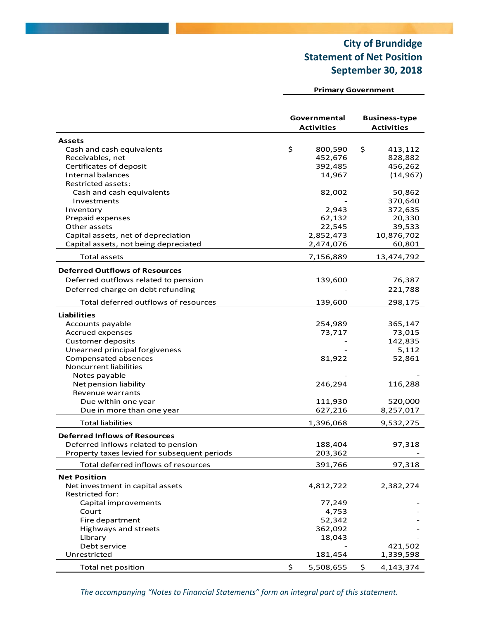# **City of Brundidge Statement of Net Position September 30, 2018**

**Primary Government**

|                                              | Governmental |                   |    | <b>Business-type</b> |
|----------------------------------------------|--------------|-------------------|----|----------------------|
|                                              |              | <b>Activities</b> |    | <b>Activities</b>    |
| Assets                                       |              |                   |    |                      |
| Cash and cash equivalents                    | \$           | 800,590           | \$ | 413,112              |
| Receivables, net                             |              | 452,676           |    | 828,882              |
| Certificates of deposit                      |              | 392,485           |    | 456,262              |
| <b>Internal balances</b>                     |              | 14,967            |    | (14, 967)            |
| <b>Restricted assets:</b>                    |              |                   |    |                      |
| Cash and cash equivalents                    |              | 82,002            |    | 50,862               |
| Investments                                  |              |                   |    | 370,640              |
| Inventory                                    |              | 2,943             |    | 372,635              |
| Prepaid expenses                             |              | 62,132            |    | 20,330               |
| Other assets                                 |              | 22,545            |    | 39,533               |
| Capital assets, net of depreciation          |              | 2,852,473         |    | 10,876,702           |
| Capital assets, not being depreciated        |              | 2,474,076         |    | 60,801               |
| Total assets                                 |              | 7,156,889         |    | 13,474,792           |
| <b>Deferred Outflows of Resources</b>        |              |                   |    |                      |
|                                              |              |                   |    |                      |
| Deferred outflows related to pension         |              | 139,600           |    | 76,387               |
| Deferred charge on debt refunding            |              |                   |    | 221,788              |
| Total deferred outflows of resources         |              | 139,600           |    | 298,175              |
| <b>Liabilities</b>                           |              |                   |    |                      |
| Accounts payable                             |              | 254,989           |    | 365,147              |
| <b>Accrued expenses</b>                      |              | 73,717            |    | 73,015               |
| <b>Customer deposits</b>                     |              |                   |    | 142,835              |
| Unearned principal forgiveness               |              |                   |    | 5,112                |
| Compensated absences                         |              | 81,922            |    | 52,861               |
| <b>Noncurrent liabilities</b>                |              |                   |    |                      |
| Notes payable                                |              |                   |    |                      |
| Net pension liability                        |              | 246,294           |    | 116,288              |
| Revenue warrants                             |              |                   |    |                      |
| Due within one year                          |              | 111,930           |    | 520,000              |
| Due in more than one year                    |              | 627,216           |    | 8,257,017            |
| <b>Total liabilities</b>                     |              | 1,396,068         |    | 9,532,275            |
| <b>Deferred Inflows of Resources</b>         |              |                   |    |                      |
| Deferred inflows related to pension          |              | 188,404           |    | 97,318               |
| Property taxes levied for subsequent periods |              | 203,362           |    |                      |
| Total deferred inflows of resources          |              | 391,766           |    | 97,318               |
| <b>Net Position</b>                          |              |                   |    |                      |
| Net investment in capital assets             |              | 4,812,722         |    | 2,382,274            |
| Restricted for:                              |              |                   |    |                      |
| Capital improvements                         |              | 77,249            |    |                      |
| Court                                        |              | 4,753             |    |                      |
| Fire department                              |              | 52,342            |    |                      |
| Highways and streets                         |              | 362,092           |    |                      |
| Library                                      |              | 18,043            |    |                      |
| Debt service                                 |              |                   |    | 421,502              |
| Unrestricted                                 |              | 181,454           |    | 1,339,598            |
|                                              |              |                   |    |                      |
| Total net position                           | \$           | 5,508,655         | \$ | 4,143,374            |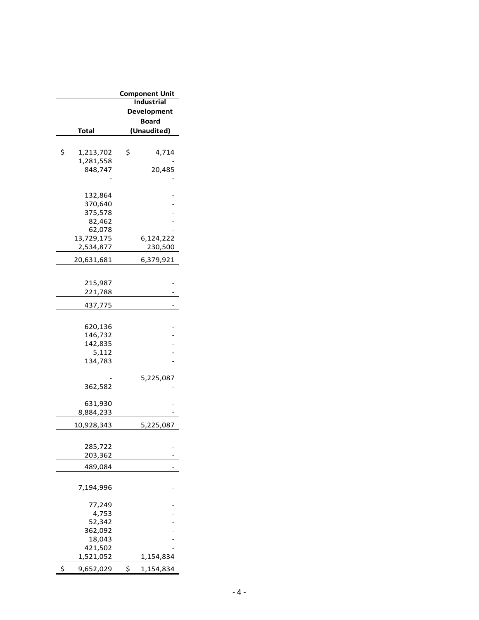|                      | <b>Component Unit</b> |
|----------------------|-----------------------|
|                      | <b>Industrial</b>     |
|                      | Development           |
|                      | Board                 |
| Total                | (Unaudited)           |
|                      |                       |
|                      |                       |
| \$<br>1,213,702      | \$<br>4,714           |
| 1,281,558            |                       |
| 848,747              | 20,485                |
|                      |                       |
| 132,864              |                       |
| 370,640              |                       |
| 375,578              |                       |
| 82,462               |                       |
| 62,078               |                       |
| 13,729,175           | 6,124,222             |
|                      |                       |
| 2,534,877            | 230,500               |
| 20,631,681           | 6,379,921             |
|                      |                       |
| 215,987              |                       |
| 221,788              |                       |
| 437,775              |                       |
|                      |                       |
| 620,136              |                       |
| 146,732              |                       |
| 142,835              |                       |
| 5,112                |                       |
| 134,783              |                       |
|                      | 5,225,087             |
| 362,582              |                       |
|                      |                       |
| 631,930<br>8,884,233 |                       |
| 10,928,343           | 5,225,087             |
|                      |                       |
| 285,722              |                       |
| 203,362              |                       |
| 489,084              |                       |
| 7,194,996            |                       |
| 77,249               |                       |
| 4,753                |                       |
| 52,342               |                       |
| 362,092              |                       |
| 18,043               |                       |
| 421,502              |                       |
| 1,521,052            | 1,154,834             |
| \$<br>9,652,029      | \$<br>1,154,834       |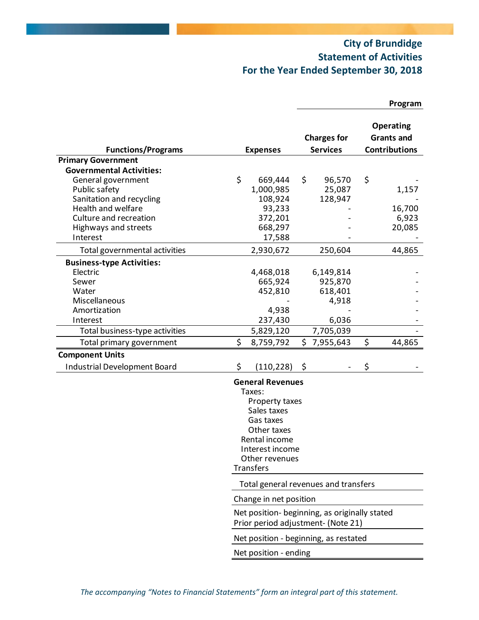# **City of Brundidge Statement of Activities For the Year Ended September 30, 2018**

|                                                                                    |                       |                                                                                                                                                                                                                  |      |                    |    | Program                               |
|------------------------------------------------------------------------------------|-----------------------|------------------------------------------------------------------------------------------------------------------------------------------------------------------------------------------------------------------|------|--------------------|----|---------------------------------------|
|                                                                                    |                       |                                                                                                                                                                                                                  |      | <b>Charges for</b> |    | <b>Operating</b><br><b>Grants and</b> |
| <b>Functions/Programs</b>                                                          |                       | <b>Expenses</b>                                                                                                                                                                                                  |      | <b>Services</b>    |    | <b>Contributions</b>                  |
| <b>Primary Government</b><br><b>Governmental Activities:</b><br>General government | \$                    | 669,444                                                                                                                                                                                                          | \$   | 96,570             | \$ |                                       |
| Public safety                                                                      |                       | 1,000,985                                                                                                                                                                                                        |      | 25,087             |    | 1,157                                 |
| Sanitation and recycling                                                           |                       | 108,924                                                                                                                                                                                                          |      | 128,947            |    |                                       |
| Health and welfare                                                                 |                       | 93,233                                                                                                                                                                                                           |      |                    |    | 16,700                                |
| Culture and recreation                                                             |                       | 372,201                                                                                                                                                                                                          |      |                    |    | 6,923                                 |
| Highways and streets                                                               |                       | 668,297                                                                                                                                                                                                          |      |                    |    | 20,085                                |
| Interest                                                                           |                       | 17,588                                                                                                                                                                                                           |      |                    |    |                                       |
| Total governmental activities                                                      |                       | 2,930,672                                                                                                                                                                                                        |      | 250,604            |    | 44,865                                |
| <b>Business-type Activities:</b>                                                   |                       |                                                                                                                                                                                                                  |      |                    |    |                                       |
| Electric                                                                           |                       | 4,468,018                                                                                                                                                                                                        |      | 6,149,814          |    |                                       |
| Sewer<br>Water                                                                     |                       | 665,924<br>452,810                                                                                                                                                                                               |      | 925,870<br>618,401 |    |                                       |
| Miscellaneous                                                                      |                       |                                                                                                                                                                                                                  |      | 4,918              |    |                                       |
| Amortization                                                                       |                       | 4,938                                                                                                                                                                                                            |      |                    |    |                                       |
| Interest                                                                           |                       | 237,430                                                                                                                                                                                                          |      | 6,036              |    |                                       |
| Total business-type activities                                                     |                       | 5,829,120                                                                                                                                                                                                        |      | 7,705,039          |    |                                       |
| Total primary government                                                           | \$                    | 8,759,792                                                                                                                                                                                                        |      | \$7,955,643        | \$ | 44,865                                |
| <b>Component Units</b>                                                             |                       |                                                                                                                                                                                                                  |      |                    |    |                                       |
| <b>Industrial Development Board</b>                                                | \$                    | (110, 228)                                                                                                                                                                                                       | - \$ |                    | \$ |                                       |
|                                                                                    |                       | <b>General Revenues</b><br>Taxes:<br>Property taxes<br>Sales taxes<br>Gas taxes<br>Other taxes<br>Rental income<br>Interest income<br>Other revenues<br><b>Transfers</b><br>Total general revenues and transfers |      |                    |    |                                       |
|                                                                                    |                       |                                                                                                                                                                                                                  |      |                    |    |                                       |
|                                                                                    |                       | Change in net position                                                                                                                                                                                           |      |                    |    |                                       |
|                                                                                    |                       | Net position- beginning, as originally stated<br>Prior period adjustment- (Note 21)                                                                                                                              |      |                    |    |                                       |
|                                                                                    |                       | Net position - beginning, as restated                                                                                                                                                                            |      |                    |    |                                       |
|                                                                                    | Net position - ending |                                                                                                                                                                                                                  |      |                    |    |                                       |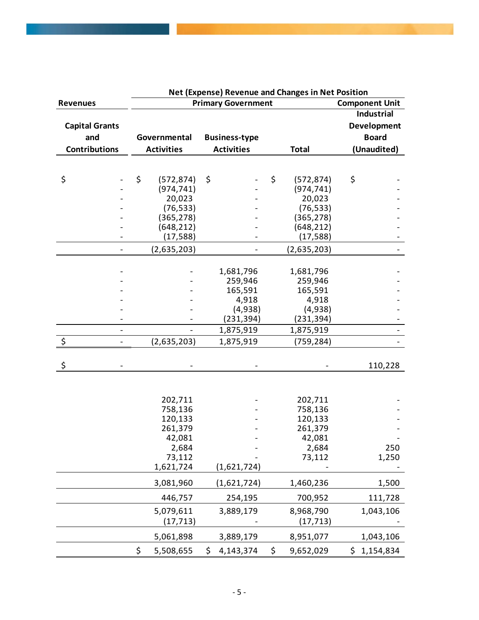|                                | Net (Expense) Revenue and Changes in Net Position |                   |                           |                  |    |                    |    |                       |
|--------------------------------|---------------------------------------------------|-------------------|---------------------------|------------------|----|--------------------|----|-----------------------|
| <b>Revenues</b>                |                                                   |                   | <b>Primary Government</b> |                  |    |                    |    | <b>Component Unit</b> |
|                                |                                                   |                   |                           |                  |    |                    |    | <b>Industrial</b>     |
| <b>Capital Grants</b>          |                                                   |                   |                           |                  |    |                    |    | Development           |
| and                            |                                                   | Governmental      | <b>Business-type</b>      |                  |    |                    |    | <b>Board</b>          |
| <b>Contributions</b>           |                                                   | <b>Activities</b> | <b>Activities</b>         |                  |    | <b>Total</b>       |    | (Unaudited)           |
|                                |                                                   |                   |                           |                  |    |                    |    |                       |
|                                |                                                   |                   |                           |                  |    |                    |    |                       |
| \$                             | \$                                                | (572, 874)        | \$                        |                  | \$ | (572, 874)         | \$ |                       |
|                                |                                                   | (974, 741)        |                           |                  |    | (974, 741)         |    |                       |
|                                |                                                   | 20,023            |                           |                  |    | 20,023             |    |                       |
|                                |                                                   | (76, 533)         |                           |                  |    | (76, 533)          |    |                       |
|                                |                                                   | (365, 278)        |                           |                  |    | (365, 278)         |    |                       |
|                                |                                                   | (648, 212)        |                           |                  |    | (648, 212)         |    |                       |
|                                |                                                   | (17, 588)         |                           |                  |    | (17, 588)          |    |                       |
|                                |                                                   | (2,635,203)       |                           |                  |    | (2,635,203)        |    |                       |
|                                |                                                   |                   |                           |                  |    |                    |    |                       |
|                                |                                                   |                   |                           | 1,681,796        |    | 1,681,796          |    |                       |
|                                |                                                   |                   |                           | 259,946          |    | 259,946<br>165,591 |    |                       |
|                                |                                                   |                   |                           | 165,591<br>4,918 |    | 4,918              |    |                       |
|                                |                                                   |                   |                           | (4,938)          |    | (4,938)            |    |                       |
|                                |                                                   |                   |                           | (231, 394)       |    | (231,394)          |    |                       |
| $\overline{\phantom{0}}$       |                                                   |                   |                           | 1,875,919        |    | 1,875,919          |    |                       |
| \$<br>$\overline{\phantom{a}}$ |                                                   | (2,635,203)       |                           | 1,875,919        |    | (759, 284)         |    |                       |
|                                |                                                   |                   |                           |                  |    |                    |    |                       |
| \$                             |                                                   |                   |                           |                  |    |                    |    | 110,228               |
|                                |                                                   |                   |                           |                  |    |                    |    |                       |
|                                |                                                   |                   |                           |                  |    |                    |    |                       |
|                                |                                                   | 202,711           |                           |                  |    | 202,711            |    |                       |
|                                |                                                   | 758,136           |                           |                  |    | 758,136            |    |                       |
|                                |                                                   | 120,133           |                           |                  |    | 120,133            |    |                       |
|                                |                                                   | 261,379           |                           |                  |    | 261,379            |    |                       |
|                                |                                                   | 42,081            |                           |                  |    | 42,081             |    |                       |
|                                |                                                   | 2,684<br>73,112   |                           |                  |    | 2,684<br>73,112    |    | 250                   |
|                                |                                                   | 1,621,724         |                           | (1,621,724)      |    |                    |    | 1,250                 |
|                                |                                                   |                   |                           |                  |    |                    |    |                       |
|                                |                                                   | 3,081,960         |                           | (1,621,724)      |    | 1,460,236          |    | 1,500                 |
|                                |                                                   | 446,757           |                           | 254,195          |    | 700,952            |    | 111,728               |
|                                |                                                   | 5,079,611         |                           | 3,889,179        |    | 8,968,790          |    | 1,043,106             |
|                                |                                                   | (17, 713)         |                           |                  |    | (17, 713)          |    |                       |
|                                |                                                   | 5,061,898         |                           | 3,889,179        |    | 8,951,077          |    | 1,043,106             |
|                                | \$                                                | 5,508,655         | \$                        | 4,143,374        | \$ | 9,652,029          | \$ | 1,154,834             |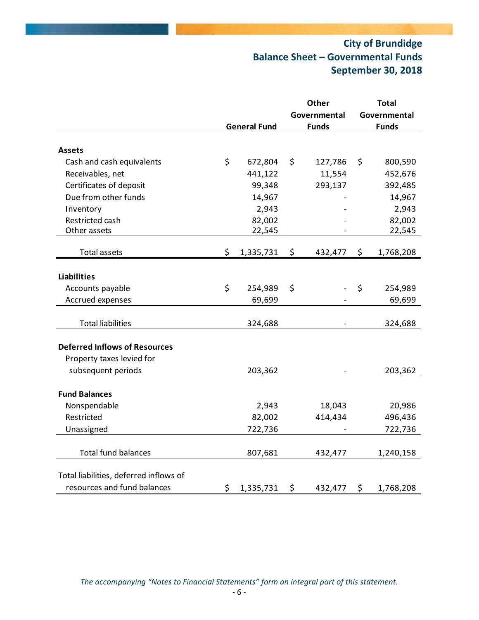# **City of Brundidge Balance Sheet – Governmental Funds September 30, 2018**

|                                        |                     |           | Other         |    | <b>Total</b> |  |
|----------------------------------------|---------------------|-----------|---------------|----|--------------|--|
|                                        |                     |           | Governmental  |    | Governmental |  |
|                                        | <b>General Fund</b> |           | <b>Funds</b>  |    | <b>Funds</b> |  |
|                                        |                     |           |               |    |              |  |
| <b>Assets</b>                          |                     |           |               |    |              |  |
| Cash and cash equivalents              | \$                  | 672,804   | \$<br>127,786 | \$ | 800,590      |  |
| Receivables, net                       |                     | 441,122   | 11,554        |    | 452,676      |  |
| Certificates of deposit                |                     | 99,348    | 293,137       |    | 392,485      |  |
| Due from other funds                   |                     | 14,967    |               |    | 14,967       |  |
| Inventory                              |                     | 2,943     |               |    | 2,943        |  |
| Restricted cash                        |                     | 82,002    |               |    | 82,002       |  |
| Other assets                           |                     | 22,545    |               |    | 22,545       |  |
|                                        |                     |           |               |    |              |  |
| <b>Total assets</b>                    | \$                  | 1,335,731 | \$<br>432,477 | \$ | 1,768,208    |  |
|                                        |                     |           |               |    |              |  |
| <b>Liabilities</b>                     |                     |           |               |    |              |  |
| Accounts payable                       | \$                  | 254,989   | \$            | \$ | 254,989      |  |
| Accrued expenses                       |                     | 69,699    |               |    | 69,699       |  |
| <b>Total liabilities</b>               |                     | 324,688   |               |    | 324,688      |  |
|                                        |                     |           |               |    |              |  |
| <b>Deferred Inflows of Resources</b>   |                     |           |               |    |              |  |
| Property taxes levied for              |                     |           |               |    |              |  |
| subsequent periods                     |                     | 203,362   |               |    | 203,362      |  |
|                                        |                     |           |               |    |              |  |
| <b>Fund Balances</b>                   |                     |           |               |    |              |  |
| Nonspendable                           |                     | 2,943     | 18,043        |    | 20,986       |  |
| Restricted                             |                     | 82,002    | 414,434       |    | 496,436      |  |
| Unassigned                             |                     | 722,736   |               |    | 722,736      |  |
|                                        |                     |           |               |    |              |  |
| <b>Total fund balances</b>             |                     | 807,681   | 432,477       |    | 1,240,158    |  |
|                                        |                     |           |               |    |              |  |
| Total liabilities, deferred inflows of |                     |           |               |    |              |  |
| resources and fund balances            | \$                  | 1,335,731 | \$<br>432,477 | \$ | 1,768,208    |  |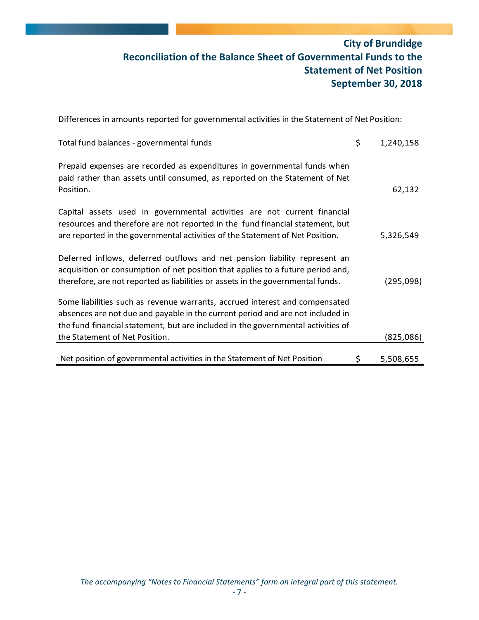# **City of Brundidge Reconciliation of the Balance Sheet of Governmental Funds to the Statement of Net Position September 30, 2018**

Differences in amounts reported for governmental activities in the Statement of Net Position:

| Total fund balances - governmental funds                                                                                                                                                                                                          | \$<br>1,240,158 |
|---------------------------------------------------------------------------------------------------------------------------------------------------------------------------------------------------------------------------------------------------|-----------------|
| Prepaid expenses are recorded as expenditures in governmental funds when<br>paid rather than assets until consumed, as reported on the Statement of Net<br>Position.                                                                              | 62,132          |
| Capital assets used in governmental activities are not current financial<br>resources and therefore are not reported in the fund financial statement, but<br>are reported in the governmental activities of the Statement of Net Position.        | 5,326,549       |
| Deferred inflows, deferred outflows and net pension liability represent an<br>acquisition or consumption of net position that applies to a future period and,<br>therefore, are not reported as liabilities or assets in the governmental funds.  | (295,098)       |
| Some liabilities such as revenue warrants, accrued interest and compensated<br>absences are not due and payable in the current period and are not included in<br>the fund financial statement, but are included in the governmental activities of |                 |
| the Statement of Net Position.                                                                                                                                                                                                                    | (825,086)       |
|                                                                                                                                                                                                                                                   |                 |
| Net position of governmental activities in the Statement of Net Position                                                                                                                                                                          | \$<br>5,508,655 |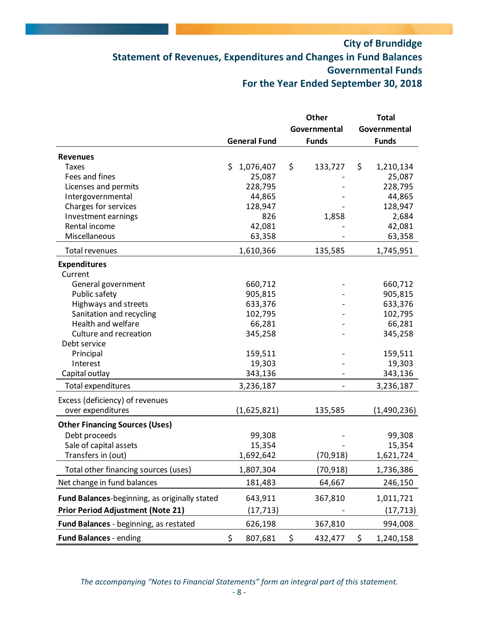# **City of Brundidge Statement of Revenues, Expenditures and Changes in Fund Balances Governmental Funds For the Year Ended September 30, 2018**

|                                               |                     | <b>Total</b><br><b>Other</b> |              |    |              |
|-----------------------------------------------|---------------------|------------------------------|--------------|----|--------------|
|                                               |                     |                              | Governmental |    | Governmental |
|                                               | <b>General Fund</b> |                              | <b>Funds</b> |    | <b>Funds</b> |
| <b>Revenues</b>                               |                     |                              |              |    |              |
| <b>Taxes</b>                                  | \$<br>1,076,407     | \$                           | 133,727      | \$ | 1,210,134    |
| Fees and fines                                | 25,087              |                              |              |    | 25,087       |
| Licenses and permits                          | 228,795             |                              |              |    | 228,795      |
| Intergovernmental                             | 44,865              |                              |              |    | 44,865       |
| Charges for services                          | 128,947             |                              |              |    | 128,947      |
| Investment earnings                           | 826                 |                              | 1,858        |    | 2,684        |
| Rental income                                 | 42,081              |                              |              |    | 42,081       |
| Miscellaneous                                 | 63,358              |                              |              |    | 63,358       |
| Total revenues                                | 1,610,366           |                              | 135,585      |    | 1,745,951    |
| <b>Expenditures</b>                           |                     |                              |              |    |              |
| Current                                       |                     |                              |              |    |              |
| General government                            | 660,712             |                              |              |    | 660,712      |
| Public safety                                 | 905,815             |                              |              |    | 905,815      |
| Highways and streets                          | 633,376             |                              |              |    | 633,376      |
| Sanitation and recycling                      | 102,795             |                              |              |    | 102,795      |
| Health and welfare                            | 66,281              |                              |              |    | 66,281       |
| Culture and recreation                        | 345,258             |                              |              |    | 345,258      |
| Debt service                                  |                     |                              |              |    |              |
| Principal                                     | 159,511             |                              |              |    | 159,511      |
| Interest                                      | 19,303              |                              |              |    | 19,303       |
| Capital outlay                                | 343,136             |                              |              |    | 343,136      |
| Total expenditures                            | 3,236,187           |                              |              |    | 3,236,187    |
| Excess (deficiency) of revenues               |                     |                              |              |    |              |
| over expenditures                             | (1,625,821)         |                              | 135,585      |    | (1,490,236)  |
| <b>Other Financing Sources (Uses)</b>         |                     |                              |              |    |              |
| Debt proceeds                                 | 99,308              |                              |              |    | 99,308       |
| Sale of capital assets                        | 15,354              |                              |              |    | 15,354       |
| Transfers in (out)                            | 1,692,642           |                              | (70, 918)    |    | 1,621,724    |
| Total other financing sources (uses)          | 1,807,304           |                              | (70, 918)    |    | 1,736,386    |
| Net change in fund balances                   | 181,483             |                              | 64,667       |    | 246,150      |
| Fund Balances-beginning, as originally stated | 643,911             |                              | 367,810      |    | 1,011,721    |
| <b>Prior Period Adjustment (Note 21)</b>      | (17, 713)           |                              |              |    | (17, 713)    |
| Fund Balances - beginning, as restated        | 626,198             |                              | 367,810      |    | 994,008      |
| <b>Fund Balances - ending</b>                 | \$<br>807,681       | \$                           | 432,477      | \$ | 1,240,158    |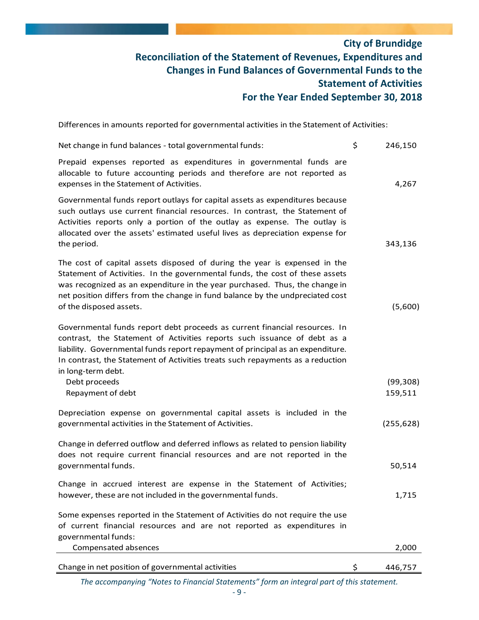# **City of Brundidge Reconciliation of the Statement of Revenues, Expenditures and Changes in Fund Balances of Governmental Funds to the Statement of Activities For the Year Ended September 30, 2018**

Differences in amounts reported for governmental activities in the Statement of Activities:

| Net change in fund balances - total governmental funds:                                                                                                                                                                                                                                                                                              | \$<br>246,150        |
|------------------------------------------------------------------------------------------------------------------------------------------------------------------------------------------------------------------------------------------------------------------------------------------------------------------------------------------------------|----------------------|
| Prepaid expenses reported as expenditures in governmental funds are<br>allocable to future accounting periods and therefore are not reported as<br>expenses in the Statement of Activities.                                                                                                                                                          | 4,267                |
| Governmental funds report outlays for capital assets as expenditures because<br>such outlays use current financial resources. In contrast, the Statement of<br>Activities reports only a portion of the outlay as expense. The outlay is<br>allocated over the assets' estimated useful lives as depreciation expense for                            |                      |
| the period.                                                                                                                                                                                                                                                                                                                                          | 343,136              |
| The cost of capital assets disposed of during the year is expensed in the<br>Statement of Activities. In the governmental funds, the cost of these assets<br>was recognized as an expenditure in the year purchased. Thus, the change in<br>net position differs from the change in fund balance by the undpreciated cost<br>of the disposed assets. | (5,600)              |
|                                                                                                                                                                                                                                                                                                                                                      |                      |
| Governmental funds report debt proceeds as current financial resources. In<br>contrast, the Statement of Activities reports such issuance of debt as a<br>liability. Governmental funds report repayment of principal as an expenditure.<br>In contrast, the Statement of Activities treats such repayments as a reduction<br>in long-term debt.     |                      |
| Debt proceeds<br>Repayment of debt                                                                                                                                                                                                                                                                                                                   | (99, 308)<br>159,511 |
| Depreciation expense on governmental capital assets is included in the<br>governmental activities in the Statement of Activities.                                                                                                                                                                                                                    | (255, 628)           |
| Change in deferred outflow and deferred inflows as related to pension liability<br>does not require current financial resources and are not reported in the                                                                                                                                                                                          |                      |
| governmental funds.                                                                                                                                                                                                                                                                                                                                  | 50,514               |
| Change in accrued interest are expense in the Statement of Activities;<br>however, these are not included in the governmental funds.                                                                                                                                                                                                                 | 1,715                |
| Some expenses reported in the Statement of Activities do not require the use<br>of current financial resources and are not reported as expenditures in<br>governmental funds:                                                                                                                                                                        |                      |
| Compensated absences                                                                                                                                                                                                                                                                                                                                 | 2,000                |
| Change in net position of governmental activities                                                                                                                                                                                                                                                                                                    | \$<br>446,757        |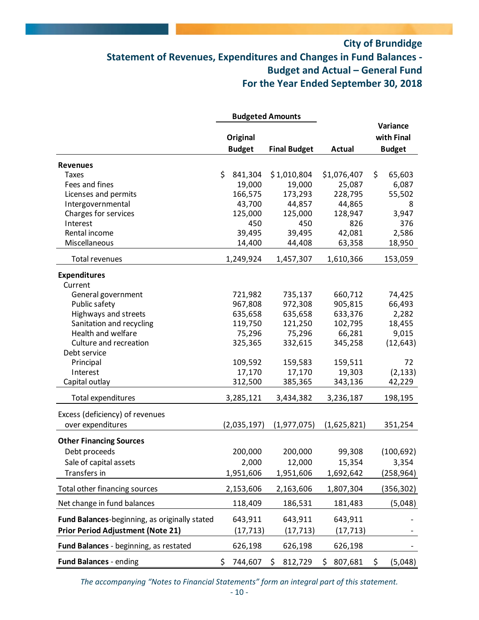# **City of Brundidge Statement of Revenues, Expenditures and Changes in Fund Balances ‐ Budget and Actual – General Fund For the Year Ended September 30, 2018**

|                                               |               | <b>Budgeted Amounts</b> |                |               |
|-----------------------------------------------|---------------|-------------------------|----------------|---------------|
|                                               |               |                         |                | Variance      |
|                                               | Original      |                         |                | with Final    |
|                                               | <b>Budget</b> | <b>Final Budget</b>     | <b>Actual</b>  | <b>Budget</b> |
| <b>Revenues</b>                               |               |                         |                |               |
| <b>Taxes</b>                                  | \$<br>841,304 | \$1,010,804             | \$1,076,407    | \$<br>65,603  |
| Fees and fines                                | 19,000        | 19,000                  | 25,087         | 6,087         |
| Licenses and permits                          | 166,575       | 173,293                 | 228,795        | 55,502        |
| Intergovernmental                             | 43,700        | 44,857                  | 44,865         | 8             |
| Charges for services                          | 125,000       | 125,000                 | 128,947        | 3,947         |
| Interest                                      | 450           | 450                     | 826            | 376           |
| Rental income                                 | 39,495        | 39,495                  | 42,081         | 2,586         |
| Miscellaneous                                 | 14,400        | 44,408                  | 63,358         | 18,950        |
| Total revenues                                | 1,249,924     | 1,457,307               | 1,610,366      | 153,059       |
|                                               |               |                         |                |               |
| <b>Expenditures</b><br>Current                |               |                         |                |               |
| General government                            | 721,982       | 735,137                 | 660,712        | 74,425        |
| Public safety                                 | 967,808       | 972,308                 | 905,815        | 66,493        |
| Highways and streets                          | 635,658       | 635,658                 | 633,376        | 2,282         |
| Sanitation and recycling                      | 119,750       | 121,250                 | 102,795        | 18,455        |
| Health and welfare                            |               |                         |                |               |
|                                               | 75,296        | 75,296                  | 66,281         | 9,015         |
| Culture and recreation                        | 325,365       | 332,615                 | 345,258        | (12, 643)     |
| Debt service                                  |               |                         |                |               |
| Principal                                     | 109,592       | 159,583                 | 159,511        | 72            |
| Interest                                      | 17,170        | 17,170                  | 19,303         | (2, 133)      |
| Capital outlay                                | 312,500       | 385,365                 | 343,136        | 42,229        |
| <b>Total expenditures</b>                     | 3,285,121     | 3,434,382               | 3,236,187      | 198,195       |
| Excess (deficiency) of revenues               |               |                         |                |               |
| over expenditures                             | (2,035,197)   | (1,977,075)             | (1,625,821)    | 351,254       |
|                                               |               |                         |                |               |
| <b>Other Financing Sources</b>                |               |                         |                |               |
| Debt proceeds                                 | 200,000       | 200,000                 | 99,308         | (100, 692)    |
| Sale of capital assets                        | 2.000         | 12.000                  | 15.354         | 3,354         |
| Transfers in                                  | 1,951,606     | 1,951,606               | 1,692,642      | (258, 964)    |
| Total other financing sources                 | 2,153,606     | 2,163,606               | 1,807,304      | (356,302)     |
| Net change in fund balances                   | 118,409       | 186,531                 | 181,483        | (5,048)       |
|                                               | 643,911       |                         |                |               |
| Fund Balances-beginning, as originally stated |               | 643,911                 | 643,911        |               |
| <b>Prior Period Adjustment (Note 21)</b>      | (17, 713)     | (17, 713)               | (17, 713)      |               |
| Fund Balances - beginning, as restated        | 626,198       | 626,198                 | 626,198        |               |
| Fund Balances - ending                        | \$<br>744,607 | 812,729<br>\$           | 807,681<br>\$. | \$<br>(5,048) |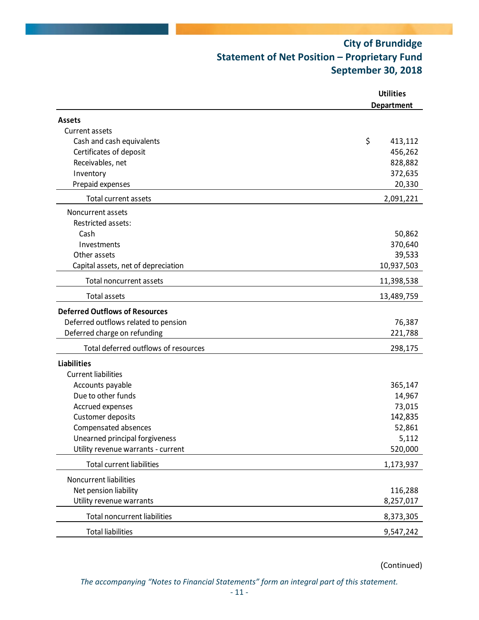# **City of Brundidge Statement of Net Position – Proprietary Fund September 30, 2018**

|                                       | <b>Utilities</b> |
|---------------------------------------|------------------|
|                                       | Department       |
| <b>Assets</b>                         |                  |
| <b>Current assets</b>                 |                  |
| Cash and cash equivalents             | \$<br>413,112    |
| Certificates of deposit               | 456,262          |
| Receivables, net                      | 828,882          |
| Inventory                             | 372,635          |
| Prepaid expenses                      | 20,330           |
| Total current assets                  | 2,091,221        |
| Noncurrent assets                     |                  |
| Restricted assets:                    |                  |
| Cash                                  | 50,862           |
| Investments                           | 370,640          |
| Other assets                          | 39,533           |
| Capital assets, net of depreciation   | 10,937,503       |
| Total noncurrent assets               | 11,398,538       |
| <b>Total assets</b>                   | 13,489,759       |
| <b>Deferred Outflows of Resources</b> |                  |
| Deferred outflows related to pension  | 76,387           |
| Deferred charge on refunding          | 221,788          |
| Total deferred outflows of resources  | 298,175          |
| <b>Liabilities</b>                    |                  |
| <b>Current liabilities</b>            |                  |
| Accounts payable                      | 365,147          |
| Due to other funds                    | 14,967           |
| Accrued expenses                      | 73,015           |
| Customer deposits                     | 142,835          |
| Compensated absences                  | 52,861           |
| Unearned principal forgiveness        | 5,112            |
| Utility revenue warrants - current    | 520,000          |
| <b>Total current liabilities</b>      | 1,173,937        |
| Noncurrent liabilities                |                  |
| Net pension liability                 | 116,288          |
| Utility revenue warrants              | 8,257,017        |
| Total noncurrent liabilities          | 8,373,305        |
| <b>Total liabilities</b>              | 9,547,242        |

(Continued)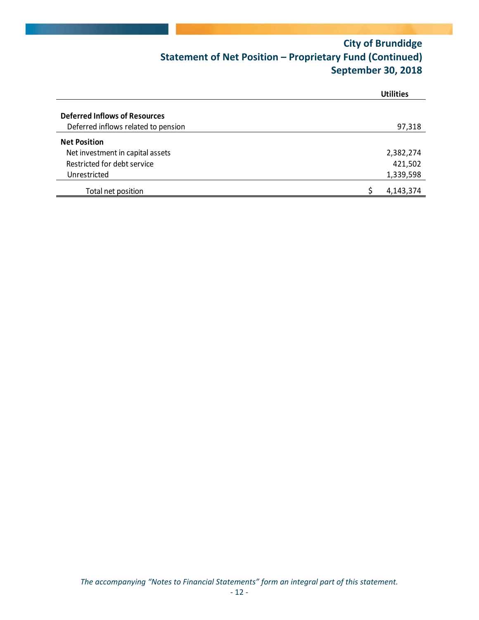# **City of Brundidge Statement of Net Position – Proprietary Fund (Continued) September 30, 2018**

|                                      | <b>Utilities</b> |
|--------------------------------------|------------------|
| <b>Deferred Inflows of Resources</b> |                  |
| Deferred inflows related to pension  | 97,318           |
|                                      |                  |
| <b>Net Position</b>                  |                  |
| Net investment in capital assets     | 2,382,274        |
| Restricted for debt service          | 421,502          |
| Unrestricted                         | 1,339,598        |
| Total net position                   | 4,143,374        |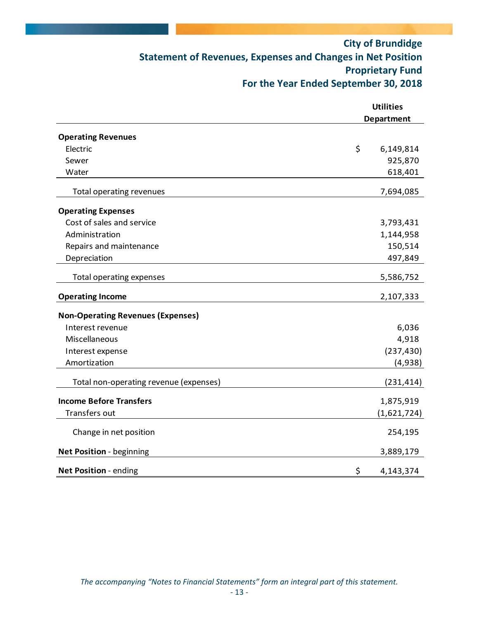# **City of Brundidge Statement of Revenues, Expenses and Changes in Net Position Proprietary Fund For the Year Ended September 30, 2018**

|                                          | <b>Utilities</b>  |  |  |  |
|------------------------------------------|-------------------|--|--|--|
|                                          | <b>Department</b> |  |  |  |
| <b>Operating Revenues</b>                |                   |  |  |  |
| Electric                                 | \$<br>6,149,814   |  |  |  |
| Sewer                                    | 925,870           |  |  |  |
| Water                                    | 618,401           |  |  |  |
|                                          |                   |  |  |  |
| Total operating revenues                 | 7,694,085         |  |  |  |
| <b>Operating Expenses</b>                |                   |  |  |  |
| Cost of sales and service                | 3,793,431         |  |  |  |
| Administration                           | 1,144,958         |  |  |  |
| Repairs and maintenance                  | 150,514           |  |  |  |
| Depreciation                             | 497,849           |  |  |  |
|                                          |                   |  |  |  |
| Total operating expenses                 | 5,586,752         |  |  |  |
| <b>Operating Income</b>                  | 2,107,333         |  |  |  |
| <b>Non-Operating Revenues (Expenses)</b> |                   |  |  |  |
| Interest revenue                         | 6,036             |  |  |  |
| Miscellaneous                            | 4,918             |  |  |  |
| Interest expense                         | (237, 430)        |  |  |  |
| Amortization                             | (4,938)           |  |  |  |
| Total non-operating revenue (expenses)   | (231, 414)        |  |  |  |
|                                          |                   |  |  |  |
| <b>Income Before Transfers</b>           | 1,875,919         |  |  |  |
| Transfers out                            | (1,621,724)       |  |  |  |
| Change in net position                   | 254,195           |  |  |  |
| Net Position - beginning                 | 3,889,179         |  |  |  |
| Net Position - ending                    | \$<br>4,143,374   |  |  |  |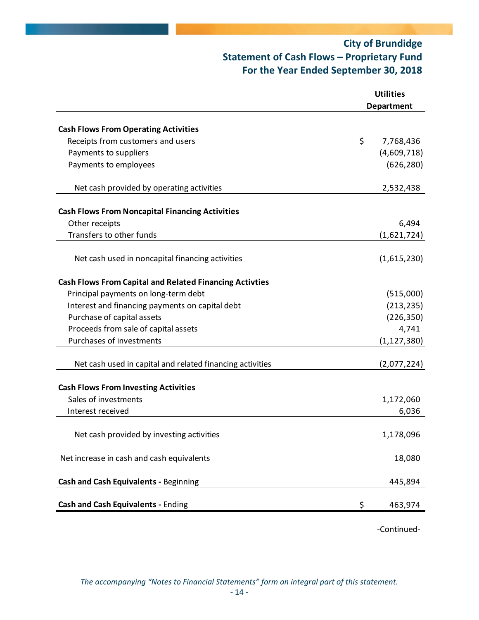# **City of Brundidge Statement of Cash Flows – Proprietary Fund For the Year Ended September 30, 2018**

|                                                                | <b>Utilities</b> |               |  |
|----------------------------------------------------------------|------------------|---------------|--|
|                                                                | Department       |               |  |
|                                                                |                  |               |  |
| <b>Cash Flows From Operating Activities</b>                    |                  |               |  |
| Receipts from customers and users                              | \$               | 7,768,436     |  |
| Payments to suppliers                                          |                  | (4,609,718)   |  |
| Payments to employees                                          |                  | (626, 280)    |  |
| Net cash provided by operating activities                      |                  | 2,532,438     |  |
| <b>Cash Flows From Noncapital Financing Activities</b>         |                  |               |  |
| Other receipts                                                 |                  | 6,494         |  |
| Transfers to other funds                                       |                  | (1,621,724)   |  |
| Net cash used in noncapital financing activities               |                  | (1,615,230)   |  |
| <b>Cash Flows From Capital and Related Financing Activties</b> |                  |               |  |
| Principal payments on long-term debt                           |                  | (515,000)     |  |
| Interest and financing payments on capital debt                |                  | (213, 235)    |  |
| Purchase of capital assets                                     |                  | (226, 350)    |  |
| Proceeds from sale of capital assets                           |                  | 4,741         |  |
| Purchases of investments                                       |                  | (1, 127, 380) |  |
| Net cash used in capital and related financing activities      |                  | (2,077,224)   |  |
|                                                                |                  |               |  |
| <b>Cash Flows From Investing Activities</b>                    |                  |               |  |
| Sales of investments                                           |                  | 1,172,060     |  |
| Interest received                                              |                  | 6,036         |  |
| Net cash provided by investing activities                      |                  | 1,178,096     |  |
|                                                                |                  |               |  |
| Net increase in cash and cash equivalents                      |                  | 18,080        |  |
| <b>Cash and Cash Equivalents - Beginning</b>                   |                  | 445,894       |  |
| Cash and Cash Equivalents - Ending                             | \$               | 463,974       |  |

‐Continued‐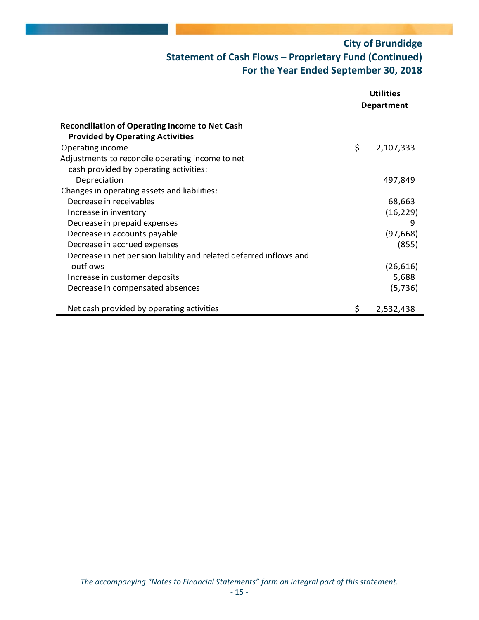# **City of Brundidge Statement of Cash Flows – Proprietary Fund (Continued) For the Year Ended September 30, 2018**

|                                                                    | <b>Utilities</b><br><b>Department</b> |           |
|--------------------------------------------------------------------|---------------------------------------|-----------|
| <b>Reconciliation of Operating Income to Net Cash</b>              |                                       |           |
| <b>Provided by Operating Activities</b>                            |                                       |           |
| Operating income                                                   | \$                                    | 2,107,333 |
| Adjustments to reconcile operating income to net                   |                                       |           |
| cash provided by operating activities:                             |                                       |           |
| Depreciation                                                       |                                       | 497,849   |
| Changes in operating assets and liabilities:                       |                                       |           |
| Decrease in receivables                                            |                                       | 68,663    |
| Increase in inventory                                              |                                       | (16, 229) |
| Decrease in prepaid expenses                                       |                                       | 9         |
| Decrease in accounts payable                                       |                                       | (97, 668) |
| Decrease in accrued expenses                                       |                                       | (855)     |
| Decrease in net pension liability and related deferred inflows and |                                       |           |
| outflows                                                           |                                       | (26, 616) |
| Increase in customer deposits                                      |                                       | 5,688     |
| Decrease in compensated absences                                   |                                       | (5,736)   |
|                                                                    |                                       |           |
| Net cash provided by operating activities                          | \$                                    | 2,532,438 |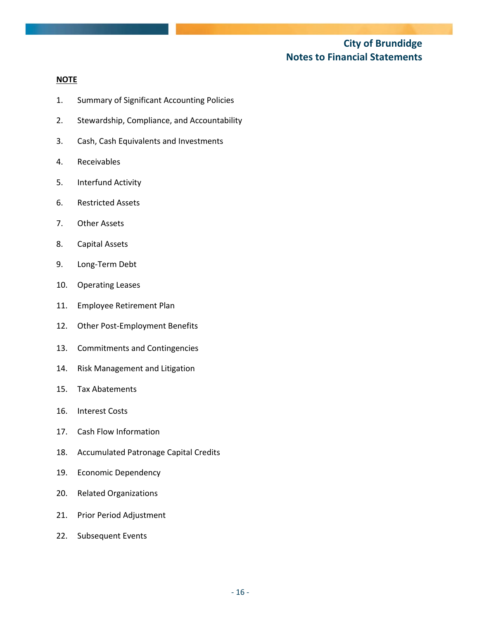# **NOTE**

- 1. Summary of Significant Accounting Policies
- 2. Stewardship, Compliance, and Accountability
- 3. Cash, Cash Equivalents and Investments
- 4. Receivables
- 5. Interfund Activity
- 6. Restricted Assets
- 7. Other Assets
- 8. Capital Assets
- 9. Long‐Term Debt
- 10. Operating Leases
- 11. Employee Retirement Plan
- 12. Other Post-Employment Benefits
- 13. Commitments and Contingencies
- 14. Risk Management and Litigation
- 15. Tax Abatements
- 16. Interest Costs
- 17. Cash Flow Information
- 18. Accumulated Patronage Capital Credits
- 19. Economic Dependency
- 20. Related Organizations
- 21. Prior Period Adjustment
- 22. Subsequent Events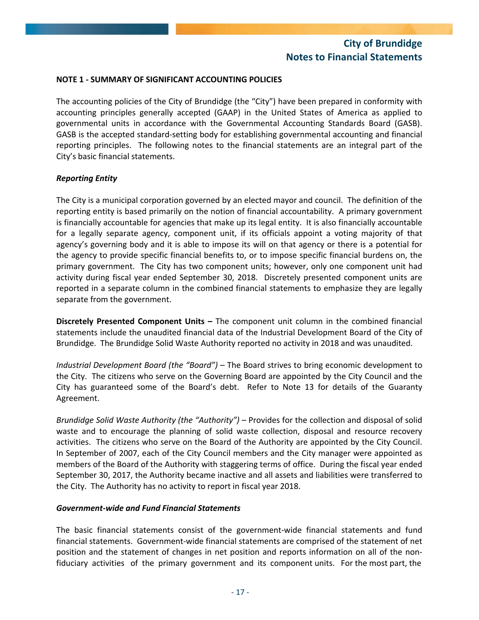# **NOTE 1 ‐ SUMMARY OF SIGNIFICANT ACCOUNTING POLICIES**

The accounting policies of the City of Brundidge (the "City") have been prepared in conformity with accounting principles generally accepted (GAAP) in the United States of America as applied to governmental units in accordance with the Governmental Accounting Standards Board (GASB). GASB is the accepted standard‐setting body for establishing governmental accounting and financial reporting principles. The following notes to the financial statements are an integral part of the City's basic financial statements.

### *Reporting Entity*

The City is a municipal corporation governed by an elected mayor and council. The definition of the reporting entity is based primarily on the notion of financial accountability. A primary government is financially accountable for agencies that make up its legal entity. It is also financially accountable for a legally separate agency, component unit, if its officials appoint a voting majority of that agency's governing body and it is able to impose its will on that agency or there is a potential for the agency to provide specific financial benefits to, or to impose specific financial burdens on, the primary government. The City has two component units; however, only one component unit had activity during fiscal year ended September 30, 2018. Discretely presented component units are reported in a separate column in the combined financial statements to emphasize they are legally separate from the government.

**Discretely Presented Component Units –** The component unit column in the combined financial statements include the unaudited financial data of the Industrial Development Board of the City of Brundidge. The Brundidge Solid Waste Authority reported no activity in 2018 and was unaudited.

*Industrial Development Board (the "Board")* – The Board strives to bring economic development to the City. The citizens who serve on the Governing Board are appointed by the City Council and the City has guaranteed some of the Board's debt. Refer to Note 13 for details of the Guaranty Agreement.

*Brundidge Solid Waste Authority (the "Authority") –* Provides for the collection and disposal of solid waste and to encourage the planning of solid waste collection, disposal and resource recovery activities. The citizens who serve on the Board of the Authority are appointed by the City Council. In September of 2007, each of the City Council members and the City manager were appointed as members of the Board of the Authority with staggering terms of office. During the fiscal year ended September 30, 2017, the Authority became inactive and all assets and liabilities were transferred to the City. The Authority has no activity to report in fiscal year 2018.

### *Government‐wide and Fund Financial Statements*

The basic financial statements consist of the government‐wide financial statements and fund financial statements. Government‐wide financial statements are comprised of the statement of net position and the statement of changes in net position and reports information on all of the non‐ fiduciary activities of the primary government and its component units. For the most part, the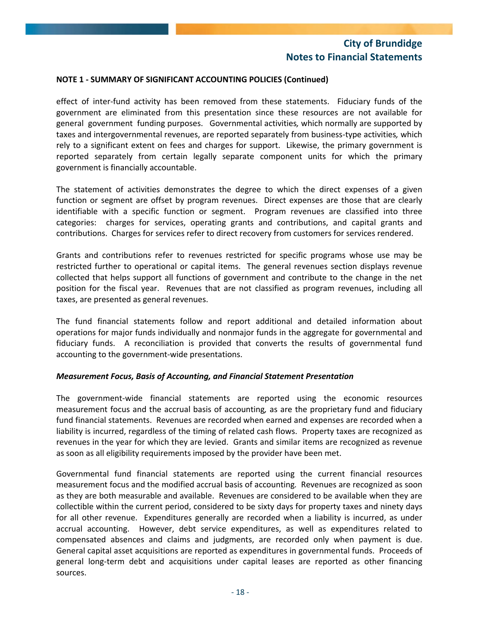# **NOTE 1 ‐ SUMMARY OF SIGNIFICANT ACCOUNTING POLICIES (Continued)**

effect of inter-fund activity has been removed from these statements. Fiduciary funds of the government are eliminated from this presentation since these resources are not available for general government funding purposes. Governmental activities*,* which normally are supported by taxes and intergovernmental revenues, are reported separately from business‐type activities*,* which rely to a significant extent on fees and charges for support. Likewise, the primary government is reported separately from certain legally separate component units for which the primary government is financially accountable.

The statement of activities demonstrates the degree to which the direct expenses of a given function or segment are offset by program revenues. Direct expenses are those that are clearly identifiable with a specific function or segment. Program revenues are classified into three categories: charges for services, operating grants and contributions, and capital grants and contributions. Charges for services refer to direct recovery from customers for services rendered.

Grants and contributions refer to revenues restricted for specific programs whose use may be restricted further to operational or capital items. The general revenues section displays revenue collected that helps support all functions of government and contribute to the change in the net position for the fiscal year. Revenues that are not classified as program revenues, including all taxes, are presented as general revenues.

The fund financial statements follow and report additional and detailed information about operations for major funds individually and nonmajor funds in the aggregate for governmental and fiduciary funds. A reconciliation is provided that converts the results of governmental fund accounting to the government‐wide presentations.

### *Measurement Focus, Basis of Accounting, and Financial Statement Presentation*

The government‐wide financial statements are reported using the economic resources measurement focus and the accrual basis of accounting*,* as are the proprietary fund and fiduciary fund financial statements. Revenues are recorded when earned and expenses are recorded when a liability is incurred, regardless of the timing of related cash flows. Property taxes are recognized as revenues in the year for which they are levied. Grants and similar items are recognized as revenue as soon as all eligibility requirements imposed by the provider have been met.

Governmental fund financial statements are reported using the current financial resources measurement focus and the modified accrual basis of accounting*.* Revenues are recognized as soon as they are both measurable and available. Revenues are considered to be available when they are collectible within the current period, considered to be sixty days for property taxes and ninety days for all other revenue. Expenditures generally are recorded when a liability is incurred, as under accrual accounting. However, debt service expenditures, as well as expenditures related to compensated absences and claims and judgments, are recorded only when payment is due. General capital asset acquisitions are reported as expenditures in governmental funds. Proceeds of general long‐term debt and acquisitions under capital leases are reported as other financing sources.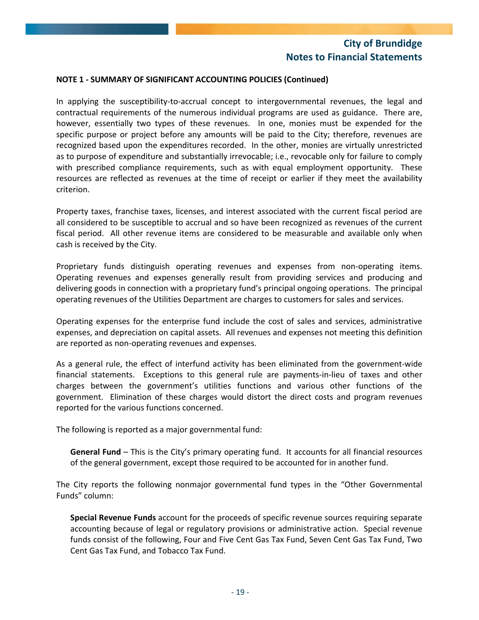# **NOTE 1 ‐ SUMMARY OF SIGNIFICANT ACCOUNTING POLICIES (Continued)**

In applying the susceptibility-to-accrual concept to intergovernmental revenues, the legal and contractual requirements of the numerous individual programs are used as guidance. There are, however, essentially two types of these revenues. In one, monies must be expended for the specific purpose or project before any amounts will be paid to the City; therefore, revenues are recognized based upon the expenditures recorded. In the other, monies are virtually unrestricted as to purpose of expenditure and substantially irrevocable; i.e., revocable only for failure to comply with prescribed compliance requirements, such as with equal employment opportunity. These resources are reflected as revenues at the time of receipt or earlier if they meet the availability criterion.

Property taxes, franchise taxes, licenses, and interest associated with the current fiscal period are all considered to be susceptible to accrual and so have been recognized as revenues of the current fiscal period. All other revenue items are considered to be measurable and available only when cash is received by the City.

Proprietary funds distinguish operating revenues and expenses from non‐operating items. Operating revenues and expenses generally result from providing services and producing and delivering goods in connection with a proprietary fund's principal ongoing operations. The principal operating revenues of the Utilities Department are charges to customers for sales and services.

Operating expenses for the enterprise fund include the cost of sales and services, administrative expenses, and depreciation on capital assets. All revenues and expenses not meeting this definition are reported as non‐operating revenues and expenses.

As a general rule, the effect of interfund activity has been eliminated from the government‐wide financial statements. Exceptions to this general rule are payments-in-lieu of taxes and other charges between the government's utilities functions and various other functions of the government. Elimination of these charges would distort the direct costs and program revenues reported for the various functions concerned.

The following is reported as a major governmental fund:

**General Fund** – This is the City's primary operating fund. It accounts for all financial resources of the general government, except those required to be accounted for in another fund.

The City reports the following nonmajor governmental fund types in the "Other Governmental Funds" column:

**Special Revenue Funds** account for the proceeds of specific revenue sources requiring separate accounting because of legal or regulatory provisions or administrative action. Special revenue funds consist of the following, Four and Five Cent Gas Tax Fund, Seven Cent Gas Tax Fund, Two Cent Gas Tax Fund, and Tobacco Tax Fund.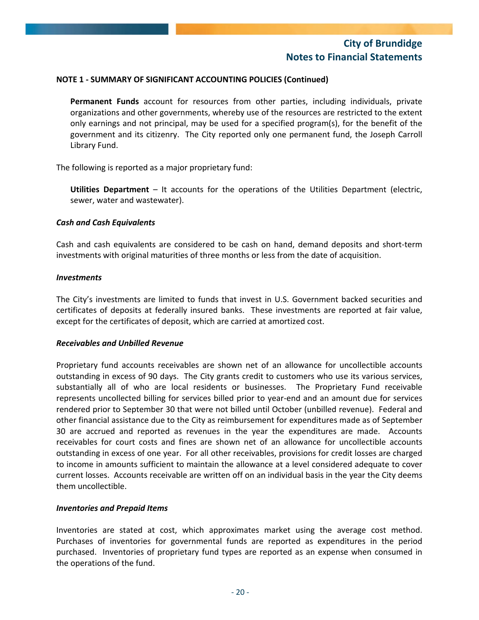# **NOTE 1 ‐ SUMMARY OF SIGNIFICANT ACCOUNTING POLICIES (Continued)**

**Permanent Funds** account for resources from other parties, including individuals, private organizations and other governments, whereby use of the resources are restricted to the extent only earnings and not principal, may be used for a specified program(s), for the benefit of the government and its citizenry. The City reported only one permanent fund, the Joseph Carroll Library Fund.

The following is reported as a major proprietary fund:

**Utilities Department** – It accounts for the operations of the Utilities Department (electric, sewer, water and wastewater).

### *Cash and Cash Equivalents*

Cash and cash equivalents are considered to be cash on hand, demand deposits and short‐term investments with original maturities of three months or less from the date of acquisition.

### *Investments*

The City's investments are limited to funds that invest in U.S. Government backed securities and certificates of deposits at federally insured banks. These investments are reported at fair value, except for the certificates of deposit, which are carried at amortized cost.

### *Receivables and Unbilled Revenue*

Proprietary fund accounts receivables are shown net of an allowance for uncollectible accounts outstanding in excess of 90 days. The City grants credit to customers who use its various services, substantially all of who are local residents or businesses. The Proprietary Fund receivable represents uncollected billing for services billed prior to year‐end and an amount due for services rendered prior to September 30 that were not billed until October (unbilled revenue). Federal and other financial assistance due to the City as reimbursement for expenditures made as of September 30 are accrued and reported as revenues in the year the expenditures are made. Accounts receivables for court costs and fines are shown net of an allowance for uncollectible accounts outstanding in excess of one year. For all other receivables, provisions for credit losses are charged to income in amounts sufficient to maintain the allowance at a level considered adequate to cover current losses. Accounts receivable are written off on an individual basis in the year the City deems them uncollectible.

### *Inventories and Prepaid Items*

Inventories are stated at cost, which approximates market using the average cost method. Purchases of inventories for governmental funds are reported as expenditures in the period purchased. Inventories of proprietary fund types are reported as an expense when consumed in the operations of the fund.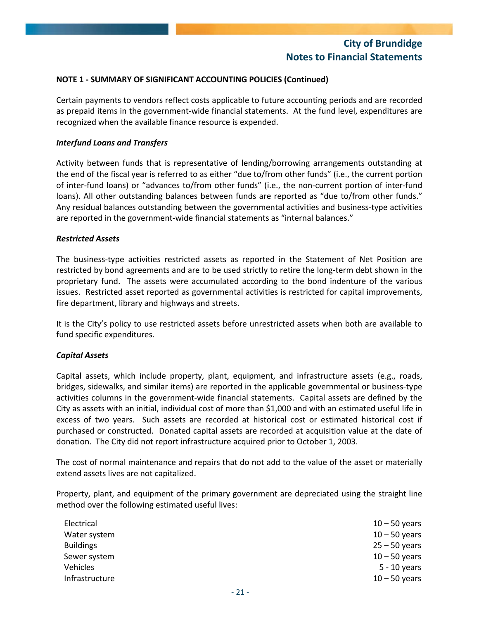# **NOTE 1 ‐ SUMMARY OF SIGNIFICANT ACCOUNTING POLICIES (Continued)**

Certain payments to vendors reflect costs applicable to future accounting periods and are recorded as prepaid items in the government-wide financial statements. At the fund level, expenditures are recognized when the available finance resource is expended.

## *Interfund Loans and Transfers*

Activity between funds that is representative of lending/borrowing arrangements outstanding at the end of the fiscal year is referred to as either "due to/from other funds" (i.e., the current portion of inter‐fund loans) or "advances to/from other funds" (i.e., the non‐current portion of inter‐fund loans). All other outstanding balances between funds are reported as "due to/from other funds." Any residual balances outstanding between the governmental activities and business‐type activities are reported in the government-wide financial statements as "internal balances."

### *Restricted Assets*

The business-type activities restricted assets as reported in the Statement of Net Position are restricted by bond agreements and are to be used strictly to retire the long-term debt shown in the proprietary fund. The assets were accumulated according to the bond indenture of the various issues. Restricted asset reported as governmental activities is restricted for capital improvements, fire department, library and highways and streets.

It is the City's policy to use restricted assets before unrestricted assets when both are available to fund specific expenditures.

### *Capital Assets*

Capital assets, which include property, plant, equipment, and infrastructure assets (e.g., roads, bridges, sidewalks, and similar items) are reported in the applicable governmental or business‐type activities columns in the government‐wide financial statements. Capital assets are defined by the City as assets with an initial, individual cost of more than \$1,000 and with an estimated useful life in excess of two years. Such assets are recorded at historical cost or estimated historical cost if purchased or constructed. Donated capital assets are recorded at acquisition value at the date of donation. The City did not report infrastructure acquired prior to October 1, 2003.

The cost of normal maintenance and repairs that do not add to the value of the asset or materially extend assets lives are not capitalized.

Property, plant, and equipment of the primary government are depreciated using the straight line method over the following estimated useful lives:

| Electrical       | $10 - 50$ years |
|------------------|-----------------|
| Water system     | $10 - 50$ years |
| <b>Buildings</b> | $25 - 50$ years |
| Sewer system     | $10 - 50$ years |
| Vehicles         | 5 - 10 years    |
| Infrastructure   | $10 - 50$ years |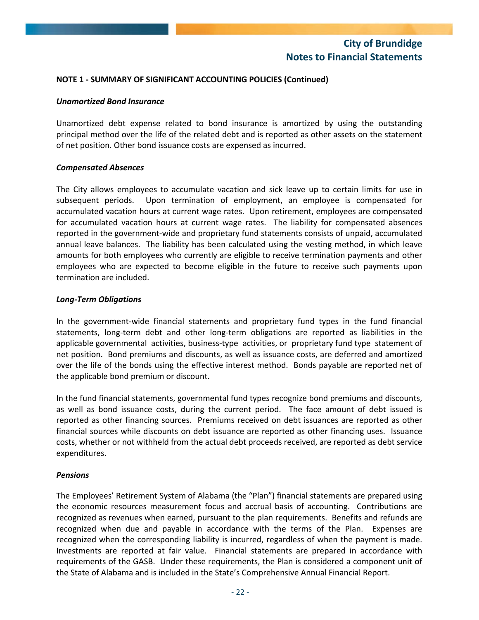# **NOTE 1 ‐ SUMMARY OF SIGNIFICANT ACCOUNTING POLICIES (Continued)**

### *Unamortized Bond Insurance*

Unamortized debt expense related to bond insurance is amortized by using the outstanding principal method over the life of the related debt and is reported as other assets on the statement of net position. Other bond issuance costs are expensed as incurred.

### *Compensated Absences*

The City allows employees to accumulate vacation and sick leave up to certain limits for use in subsequent periods. Upon termination of employment, an employee is compensated for accumulated vacation hours at current wage rates. Upon retirement, employees are compensated for accumulated vacation hours at current wage rates. The liability for compensated absences reported in the government‐wide and proprietary fund statements consists of unpaid, accumulated annual leave balances. The liability has been calculated using the vesting method, in which leave amounts for both employees who currently are eligible to receive termination payments and other employees who are expected to become eligible in the future to receive such payments upon termination are included.

# *Long‐Term Obligations*

In the government-wide financial statements and proprietary fund types in the fund financial statements, long‐term debt and other long‐term obligations are reported as liabilities in the applicable governmental activities, business-type activities, or proprietary fund type statement of net position. Bond premiums and discounts, as well as issuance costs, are deferred and amortized over the life of the bonds using the effective interest method. Bonds payable are reported net of the applicable bond premium or discount.

In the fund financial statements, governmental fund types recognize bond premiums and discounts, as well as bond issuance costs, during the current period. The face amount of debt issued is reported as other financing sources. Premiums received on debt issuances are reported as other financial sources while discounts on debt issuance are reported as other financing uses. Issuance costs, whether or not withheld from the actual debt proceeds received, are reported as debt service expenditures.

### *Pensions*

The Employees' Retirement System of Alabama (the "Plan") financial statements are prepared using the economic resources measurement focus and accrual basis of accounting. Contributions are recognized as revenues when earned, pursuant to the plan requirements. Benefits and refunds are recognized when due and payable in accordance with the terms of the Plan. Expenses are recognized when the corresponding liability is incurred, regardless of when the payment is made. Investments are reported at fair value. Financial statements are prepared in accordance with requirements of the GASB. Under these requirements, the Plan is considered a component unit of the State of Alabama and is included in the State's Comprehensive Annual Financial Report.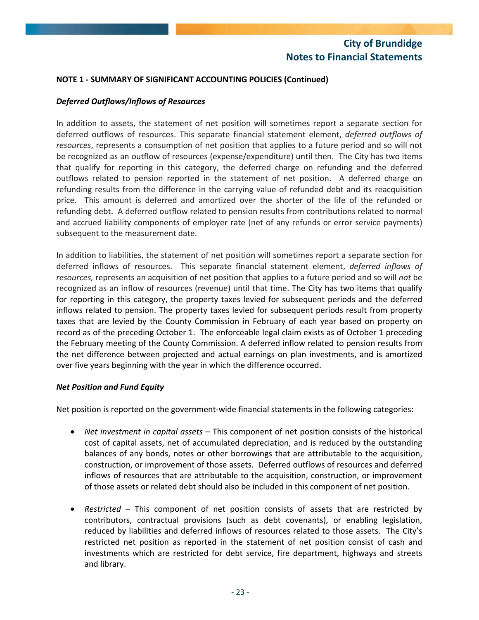# **NOTE 1 ‐ SUMMARY OF SIGNIFICANT ACCOUNTING POLICIES (Continued)**

## *Deferred Outflows/Inflows of Resources*

In addition to assets, the statement of net position will sometimes report a separate section for deferred outflows of resources. This separate financial statement element, *deferred outflows of resources*, represents a consumption of net position that applies to a future period and so will not be recognized as an outflow of resources (expense/expenditure) until then. The City has two items that qualify for reporting in this category, the deferred charge on refunding and the deferred outflows related to pension reported in the statement of net position. A deferred charge on refunding results from the difference in the carrying value of refunded debt and its reacquisition price. This amount is deferred and amortized over the shorter of the life of the refunded or refunding debt. A deferred outflow related to pension results from contributions related to normal and accrued liability components of employer rate (net of any refunds or error service payments) subsequent to the measurement date.

In addition to liabilities, the statement of net position will sometimes report a separate section for deferred inflows of resources. This separate financial statement element, *deferred inflows of resources,* represents an acquisition of net position that applies to a future period and so will *not* be recognized as an inflow of resources (revenue) until that time. The City has two items that qualify for reporting in this category, the property taxes levied for subsequent periods and the deferred inflows related to pension. The property taxes levied for subsequent periods result from property taxes that are levied by the County Commission in February of each year based on property on record as of the preceding October 1. The enforceable legal claim exists as of October 1 preceding the February meeting of the County Commission. A deferred inflow related to pension results from the net difference between projected and actual earnings on plan investments, and is amortized over five years beginning with the year in which the difference occurred.

### *Net Position and Fund Equity*

Net position is reported on the government‐wide financial statements in the following categories:

- *Net investment in capital assets* This component of net position consists of the historical cost of capital assets, net of accumulated depreciation, and is reduced by the outstanding balances of any bonds, notes or other borrowings that are attributable to the acquisition, construction, or improvement of those assets. Deferred outflows of resources and deferred inflows of resources that are attributable to the acquisition, construction, or improvement of those assets or related debt should also be included in this component of net position.
- *Restricted* This component of net position consists of assets that are restricted by contributors, contractual provisions (such as debt covenants), or enabling legislation, reduced by liabilities and deferred inflows of resources related to those assets. The City's restricted net position as reported in the statement of net position consist of cash and investments which are restricted for debt service, fire department, highways and streets and library.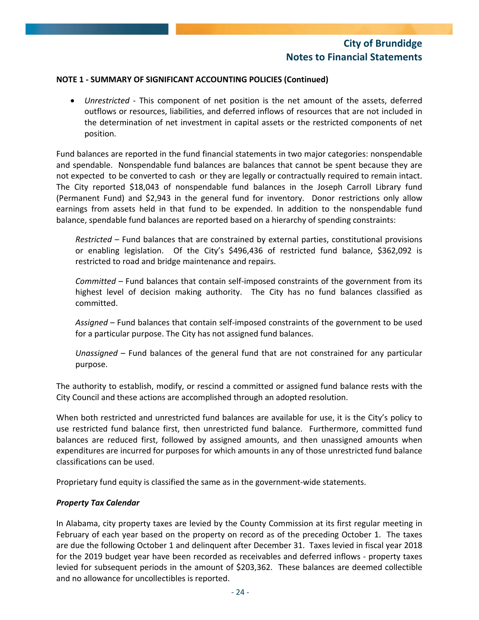# **NOTE 1 ‐ SUMMARY OF SIGNIFICANT ACCOUNTING POLICIES (Continued)**

• *Unrestricted* - This component of net position is the net amount of the assets, deferred outflows or resources, liabilities, and deferred inflows of resources that are not included in the determination of net investment in capital assets or the restricted components of net position.

Fund balances are reported in the fund financial statements in two major categories: nonspendable and spendable. Nonspendable fund balances are balances that cannot be spent because they are not expected to be converted to cash or they are legally or contractually required to remain intact. The City reported \$18,043 of nonspendable fund balances in the Joseph Carroll Library fund (Permanent Fund) and \$2,943 in the general fund for inventory. Donor restrictions only allow earnings from assets held in that fund to be expended. In addition to the nonspendable fund balance, spendable fund balances are reported based on a hierarchy of spending constraints:

*Restricted* – Fund balances that are constrained by external parties, constitutional provisions or enabling legislation. Of the City's \$496,436 of restricted fund balance, \$362,092 is restricted to road and bridge maintenance and repairs.

*Committed* – Fund balances that contain self‐imposed constraints of the government from its highest level of decision making authority. The City has no fund balances classified as committed.

*Assigned* – Fund balances that contain self‐imposed constraints of the government to be used for a particular purpose. The City has not assigned fund balances.

*Unassigned* – Fund balances of the general fund that are not constrained for any particular purpose.

The authority to establish, modify, or rescind a committed or assigned fund balance rests with the City Council and these actions are accomplished through an adopted resolution.

When both restricted and unrestricted fund balances are available for use, it is the City's policy to use restricted fund balance first, then unrestricted fund balance. Furthermore, committed fund balances are reduced first, followed by assigned amounts, and then unassigned amounts when expenditures are incurred for purposes for which amounts in any of those unrestricted fund balance classifications can be used.

Proprietary fund equity is classified the same as in the government‐wide statements.

# *Property Tax Calendar*

In Alabama, city property taxes are levied by the County Commission at its first regular meeting in February of each year based on the property on record as of the preceding October 1. The taxes are due the following October 1 and delinquent after December 31. Taxes levied in fiscal year 2018 for the 2019 budget year have been recorded as receivables and deferred inflows ‐ property taxes levied for subsequent periods in the amount of \$203,362. These balances are deemed collectible and no allowance for uncollectibles is reported.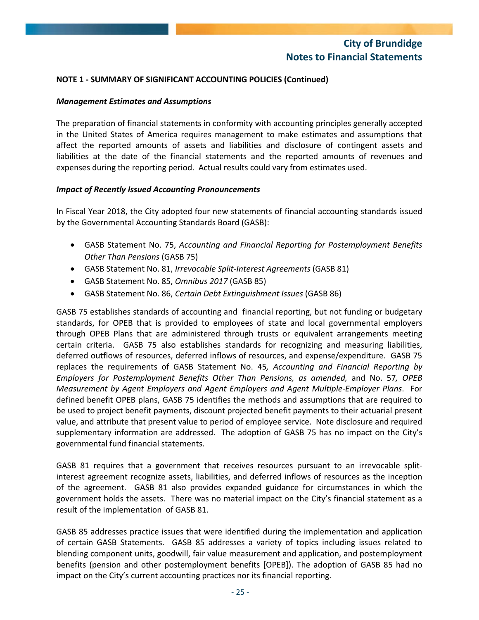# **NOTE 1 ‐ SUMMARY OF SIGNIFICANT ACCOUNTING POLICIES (Continued)**

#### *Management Estimates and Assumptions*

The preparation of financial statements in conformity with accounting principles generally accepted in the United States of America requires management to make estimates and assumptions that affect the reported amounts of assets and liabilities and disclosure of contingent assets and liabilities at the date of the financial statements and the reported amounts of revenues and expenses during the reporting period. Actual results could vary from estimates used.

### *Impact of Recently Issued Accounting Pronouncements*

In Fiscal Year 2018, the City adopted four new statements of financial accounting standards issued by the Governmental Accounting Standards Board (GASB):

- GASB Statement No. 75, *Accounting and Financial Reporting for Postemployment Benefits Other Than Pensions* (GASB 75)
- GASB Statement No. 81, *Irrevocable Split‐Interest Agreements* (GASB 81)
- GASB Statement No. 85, *Omnibus 2017* (GASB 85)
- GASB Statement No. 86, *Certain Debt Extinguishment Issues* (GASB 86)

GASB 75 establishes standards of accounting and financial reporting, but not funding or budgetary standards, for OPEB that is provided to employees of state and local governmental employers through OPEB Plans that are administered through trusts or equivalent arrangements meeting certain criteria. GASB 75 also establishes standards for recognizing and measuring liabilities, deferred outflows of resources, deferred inflows of resources, and expense/expenditure. GASB 75 replaces the requirements of GASB Statement No. 45*, Accounting and Financial Reporting by Employers for Postemployment Benefits Other Than Pensions, as amended,* and No. 57*, OPEB Measurement by Agent Employers and Agent Employers and Agent Multiple‐Employer Plans*. For defined benefit OPEB plans, GASB 75 identifies the methods and assumptions that are required to be used to project benefit payments, discount projected benefit payments to their actuarial present value, and attribute that present value to period of employee service. Note disclosure and required supplementary information are addressed. The adoption of GASB 75 has no impact on the City's governmental fund financial statements.

GASB 81 requires that a government that receives resources pursuant to an irrevocable splitinterest agreement recognize assets, liabilities, and deferred inflows of resources as the inception of the agreement. GASB 81 also provides expanded guidance for circumstances in which the government holds the assets. There was no material impact on the City's financial statement as a result of the implementation of GASB 81.

GASB 85 addresses practice issues that were identified during the implementation and application of certain GASB Statements. GASB 85 addresses a variety of topics including issues related to blending component units, goodwill, fair value measurement and application, and postemployment benefits (pension and other postemployment benefits [OPEB]). The adoption of GASB 85 had no impact on the City's current accounting practices nor its financial reporting.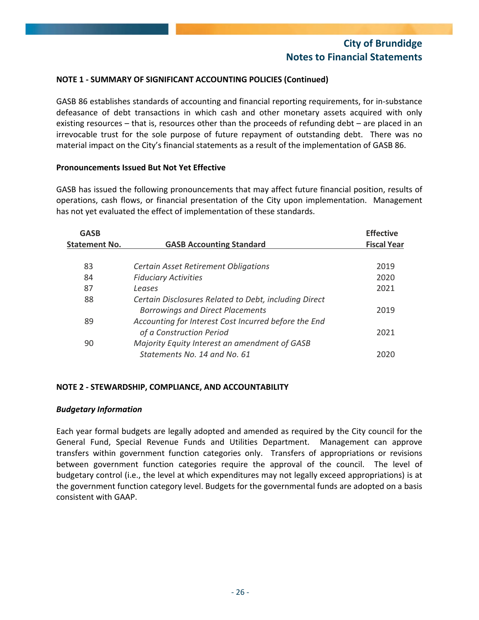# **NOTE 1 ‐ SUMMARY OF SIGNIFICANT ACCOUNTING POLICIES (Continued)**

GASB 86 establishes standards of accounting and financial reporting requirements, for in‐substance defeasance of debt transactions in which cash and other monetary assets acquired with only existing resources – that is, resources other than the proceeds of refunding debt – are placed in an irrevocable trust for the sole purpose of future repayment of outstanding debt. There was no material impact on the City's financial statements as a result of the implementation of GASB 86.

# **Pronouncements Issued But Not Yet Effective**

GASB has issued the following pronouncements that may affect future financial position, results of operations, cash flows, or financial presentation of the City upon implementation. Management has not yet evaluated the effect of implementation of these standards.

| <b>GASB</b>   |                                                       | <b>Effective</b>   |
|---------------|-------------------------------------------------------|--------------------|
| Statement No. | <b>GASB Accounting Standard</b>                       | <b>Fiscal Year</b> |
|               |                                                       |                    |
| 83            | <b>Certain Asset Retirement Obligations</b>           | 2019               |
| 84            | <b>Fiduciary Activities</b>                           | 2020               |
| 87            | Leases                                                | 2021               |
| 88            | Certain Disclosures Related to Debt, including Direct |                    |
|               | <b>Borrowings and Direct Placements</b>               | 2019               |
| 89            | Accounting for Interest Cost Incurred before the End  |                    |
|               | of a Construction Period                              | 2021               |
| 90            | Majority Equity Interest an amendment of GASB         |                    |
|               | Statements No. 14 and No. 61                          | 2020               |

### **NOTE 2 ‐ STEWARDSHIP, COMPLIANCE, AND ACCOUNTABILITY**

### *Budgetary Information*

Each year formal budgets are legally adopted and amended as required by the City council for the General Fund, Special Revenue Funds and Utilities Department. Management can approve transfers within government function categories only. Transfers of appropriations or revisions between government function categories require the approval of the council. The level of budgetary control (i.e., the level at which expenditures may not legally exceed appropriations) is at the government function category level. Budgets for the governmental funds are adopted on a basis consistent with GAAP.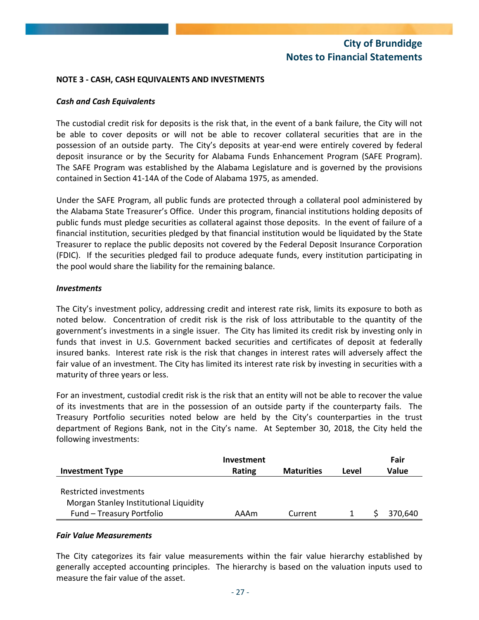### **NOTE 3 ‐ CASH, CASH EQUIVALENTS AND INVESTMENTS**

### *Cash and Cash Equivalents*

The custodial credit risk for deposits is the risk that, in the event of a bank failure, the City will not be able to cover deposits or will not be able to recover collateral securities that are in the possession of an outside party. The City's deposits at year-end were entirely covered by federal deposit insurance or by the Security for Alabama Funds Enhancement Program (SAFE Program). The SAFE Program was established by the Alabama Legislature and is governed by the provisions contained in Section 41‐14A of the Code of Alabama 1975, as amended.

Under the SAFE Program, all public funds are protected through a collateral pool administered by the Alabama State Treasurer's Office. Under this program, financial institutions holding deposits of public funds must pledge securities as collateral against those deposits. In the event of failure of a financial institution, securities pledged by that financial institution would be liquidated by the State Treasurer to replace the public deposits not covered by the Federal Deposit Insurance Corporation (FDIC). If the securities pledged fail to produce adequate funds, every institution participating in the pool would share the liability for the remaining balance.

### *Investments*

The City's investment policy, addressing credit and interest rate risk, limits its exposure to both as noted below. Concentration of credit risk is the risk of loss attributable to the quantity of the government's investments in a single issuer. The City has limited its credit risk by investing only in funds that invest in U.S. Government backed securities and certificates of deposit at federally insured banks. Interest rate risk is the risk that changes in interest rates will adversely affect the fair value of an investment. The City has limited its interest rate risk by investing in securities with a maturity of three years or less.

For an investment, custodial credit risk is the risk that an entity will not be able to recover the value of its investments that are in the possession of an outside party if the counterparty fails. The Treasury Portfolio securities noted below are held by the City's counterparties in the trust department of Regions Bank, not in the City's name. At September 30, 2018, the City held the following investments:

|                                        | Investment |                   |       | Fair    |
|----------------------------------------|------------|-------------------|-------|---------|
| <b>Investment Type</b>                 | Rating     | <b>Maturities</b> | Level | Value   |
|                                        |            |                   |       |         |
| Restricted investments                 |            |                   |       |         |
| Morgan Stanley Institutional Liquidity |            |                   |       |         |
| Fund - Treasury Portfolio              | AAAm       | Current           |       | 370,640 |

### *Fair Value Measurements*

The City categorizes its fair value measurements within the fair value hierarchy established by generally accepted accounting principles. The hierarchy is based on the valuation inputs used to measure the fair value of the asset.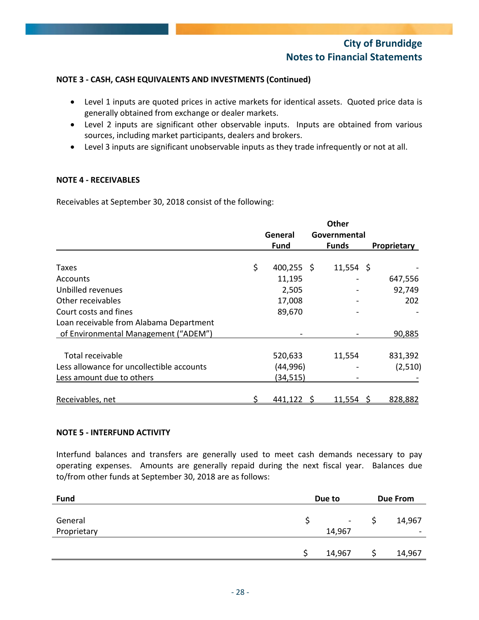# **NOTE 3 ‐ CASH, CASH EQUIVALENTS AND INVESTMENTS (Continued)**

- Level 1 inputs are quoted prices in active markets for identical assets. Quoted price data is generally obtained from exchange or dealer markets.
- Level 2 inputs are significant other observable inputs. Inputs are obtained from various sources, including market participants, dealers and brokers.
- Level 3 inputs are significant unobservable inputs as they trade infrequently or not at all.

### **NOTE 4 ‐ RECEIVABLES**

Receivables at September 30, 2018 consist of the following:

|                                           |                    | <b>Other</b> |             |     |
|-------------------------------------------|--------------------|--------------|-------------|-----|
|                                           | General            | Governmental |             |     |
|                                           | <b>Fund</b>        | <b>Funds</b> | Proprietary |     |
|                                           |                    |              |             |     |
| Taxes                                     | \$<br>$400,255$ \$ | $11,554$ \$  |             |     |
| Accounts                                  | 11,195             |              | 647,556     |     |
| Unbilled revenues                         | 2,505              |              | 92,749      |     |
| Other receivables                         | 17,008             |              |             | 202 |
| Court costs and fines                     | 89,670             |              |             |     |
| Loan receivable from Alabama Department   |                    |              |             |     |
| of Environmental Management ("ADEM")      |                    |              | 90,885      |     |
| Total receivable                          | 520,633            | 11,554       | 831,392     |     |
| Less allowance for uncollectible accounts | (44, 996)          |              | (2,510)     |     |
| Less amount due to others                 | (34, 515)          |              |             |     |
|                                           |                    |              |             |     |
| Receivables, net                          | 441,122            | 11,554       | 828,882     |     |

### **NOTE 5 ‐ INTERFUND ACTIVITY**

Interfund balances and transfers are generally used to meet cash demands necessary to pay operating expenses. Amounts are generally repaid during the next fiscal year. Balances due to/from other funds at September 30, 2018 are as follows:

| <b>Fund</b>            | Due to                             | Due From |                                    |  |
|------------------------|------------------------------------|----------|------------------------------------|--|
| General<br>Proprietary | $\overline{\phantom{a}}$<br>14,967 |          | 14,967<br>$\overline{\phantom{0}}$ |  |
|                        | 14,967                             |          | 14,967                             |  |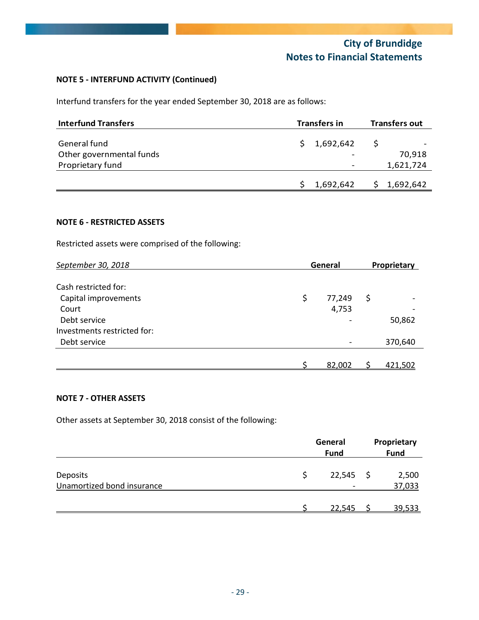# **NOTE 5 ‐ INTERFUND ACTIVITY (Continued)**

Interfund transfers for the year ended September 30, 2018 are as follows:

| <b>Interfund Transfers</b> | <b>Transfers in</b> | <b>Transfers out</b> |
|----------------------------|---------------------|----------------------|
| General fund               | 1,692,642           | S                    |
| Other governmental funds   |                     | 70,918               |
| Proprietary fund           |                     | 1,621,724            |
|                            | 1,692,642           | 1,692,642            |

#### **NOTE 6 ‐ RESTRICTED ASSETS**

Restricted assets were comprised of the following:

| September 30, 2018          | General      | Proprietary |                |  |
|-----------------------------|--------------|-------------|----------------|--|
|                             |              |             |                |  |
| Cash restricted for:        |              |             |                |  |
| Capital improvements        | \$<br>77,249 | \$          |                |  |
| Court                       | 4,753        |             |                |  |
| Debt service                |              |             | 50,862         |  |
| Investments restricted for: |              |             |                |  |
| Debt service                |              |             | 370,640        |  |
|                             |              |             |                |  |
|                             | 82,002       |             | <u>421,502</u> |  |

# **NOTE 7 ‐ OTHER ASSETS**

Other assets at September 30, 2018 consist of the following:

|                                        | General<br><b>Fund</b> | Proprietary<br><b>Fund</b> |
|----------------------------------------|------------------------|----------------------------|
| Deposits<br>Unamortized bond insurance | $22,545$ \$            | 2,500<br>37,033            |
|                                        | 22,545                 | 39,533                     |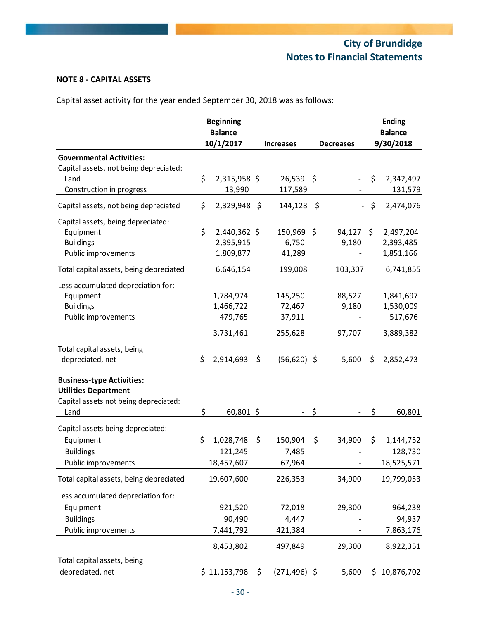# **NOTE 8 ‐ CAPITAL ASSETS**

Capital asset activity for the year ended September 30, 2018 was as follows:

|                                                                                                                  | <b>Beginning</b><br><b>Balance</b> |                        |         |                        | <b>Ending</b><br><b>Balance</b> |                            |
|------------------------------------------------------------------------------------------------------------------|------------------------------------|------------------------|---------|------------------------|---------------------------------|----------------------------|
|                                                                                                                  |                                    | 10/1/2017              |         | <b>Increases</b>       | <b>Decreases</b>                | 9/30/2018                  |
| <b>Governmental Activities:</b><br>Capital assets, not being depreciated:                                        |                                    |                        |         |                        |                                 |                            |
| Land<br>Construction in progress                                                                                 | \$                                 | 2,315,958 \$<br>13,990 |         | $26,539$ \$<br>117,589 |                                 | \$<br>2,342,497<br>131,579 |
| Capital assets, not being depreciated                                                                            | \$                                 | 2,329,948 \$           |         | 144,128                | \$                              | \$<br>2,474,076            |
| Capital assets, being depreciated:                                                                               |                                    |                        |         |                        |                                 |                            |
| Equipment                                                                                                        | \$                                 | 2,440,362 \$           |         | 150,969 \$             | $94,127$ \$                     | 2,497,204                  |
| <b>Buildings</b>                                                                                                 |                                    | 2,395,915              |         | 6,750                  | 9,180                           | 2,393,485                  |
| Public improvements                                                                                              |                                    | 1,809,877              |         | 41,289                 |                                 | 1,851,166                  |
| Total capital assets, being depreciated                                                                          |                                    | 6,646,154              |         | 199,008                | 103,307                         | 6,741,855                  |
| Less accumulated depreciation for:                                                                               |                                    |                        |         |                        |                                 |                            |
| Equipment                                                                                                        |                                    | 1,784,974              |         | 145,250                | 88,527                          | 1,841,697                  |
| <b>Buildings</b>                                                                                                 |                                    | 1,466,722              |         | 72,467                 | 9,180                           | 1,530,009                  |
| Public improvements                                                                                              |                                    | 479,765                |         | 37,911                 |                                 | 517,676                    |
|                                                                                                                  |                                    | 3,731,461              |         | 255,628                | 97,707                          | 3,889,382                  |
| Total capital assets, being                                                                                      |                                    |                        |         |                        |                                 |                            |
| depreciated, net                                                                                                 |                                    | \$2,914,693            | - \$    | $(56,620)$ \$          | 5,600                           | \$<br>2,852,473            |
| <b>Business-type Activities:</b><br><b>Utilities Department</b><br>Capital assets not being depreciated:<br>Land | \$                                 | 60,801 \$              |         | - \$                   |                                 | \$<br>60,801               |
| Capital assets being depreciated:                                                                                |                                    |                        |         |                        |                                 |                            |
| Equipment                                                                                                        | \$                                 | 1,028,748              | $\zeta$ | 150,904                | \$<br>34,900                    | \$<br>1,144,752            |
| <b>Buildings</b>                                                                                                 |                                    | 121,245                |         | 7,485                  |                                 | 128,730                    |
| Public improvements                                                                                              |                                    | 18,457,607             |         | 67,964                 |                                 | 18,525,571                 |
| Total capital assets, being depreciated                                                                          |                                    | 19,607,600             |         | 226,353                | 34,900                          | 19,799,053                 |
| Less accumulated depreciation for:                                                                               |                                    |                        |         |                        |                                 |                            |
| Equipment                                                                                                        |                                    | 921,520                |         | 72,018                 | 29,300                          | 964,238                    |
| <b>Buildings</b>                                                                                                 |                                    | 90,490                 |         | 4,447                  |                                 | 94,937                     |
| Public improvements                                                                                              |                                    | 7,441,792              |         | 421,384                |                                 | 7,863,176                  |
|                                                                                                                  |                                    |                        |         |                        |                                 |                            |
|                                                                                                                  |                                    | 8,453,802              |         | 497,849                | 29,300                          | 8,922,351                  |
| Total capital assets, being                                                                                      |                                    |                        |         |                        |                                 |                            |
| depreciated, net                                                                                                 |                                    | \$11,153,798           | - \$    | $(271, 496)$ \$        | 5,600                           | \$<br>10,876,702           |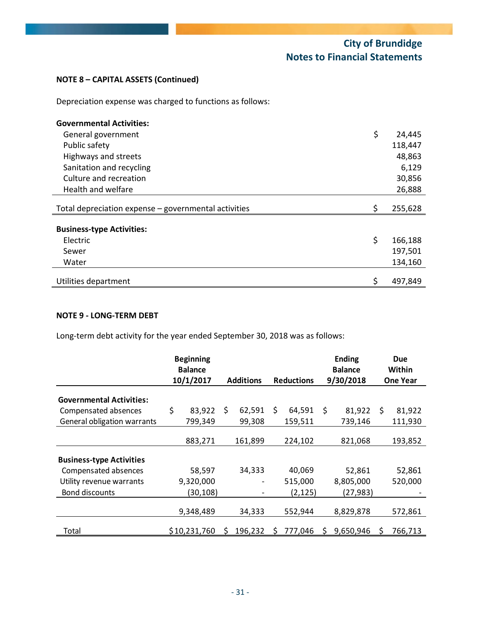# **NOTE 8 – CAPITAL ASSETS (Continued)**

Depreciation expense was charged to functions as follows:

| <b>Governmental Activities:</b>                      |               |
|------------------------------------------------------|---------------|
| General government                                   | \$<br>24,445  |
| Public safety                                        | 118,447       |
| Highways and streets                                 | 48,863        |
| Sanitation and recycling                             | 6,129         |
| Culture and recreation                               | 30,856        |
| Health and welfare                                   | 26,888        |
|                                                      |               |
| Total depreciation expense - governmental activities | \$<br>255,628 |
|                                                      |               |
| <b>Business-type Activities:</b>                     |               |
| Electric                                             | \$<br>166,188 |
| Sewer                                                | 197,501       |
| Water                                                | 134,160       |
|                                                      |               |
| Utilities department                                 | \$<br>497,849 |

# **NOTE 9 ‐ LONG‐TERM DEBT**

Long-term debt activity for the year ended September 30, 2018 was as follows:

|                                 | <b>Beginning</b><br><b>Balance</b> |                  |                   | <b>Ending</b><br><b>Balance</b> | <b>Due</b><br>Within |
|---------------------------------|------------------------------------|------------------|-------------------|---------------------------------|----------------------|
|                                 | 10/1/2017                          | <b>Additions</b> | <b>Reductions</b> | 9/30/2018                       | <b>One Year</b>      |
| <b>Governmental Activities:</b> |                                    |                  |                   |                                 |                      |
| Compensated absences            | \$<br>83,922                       | \$<br>62,591     | \$<br>64,591      | \$<br>81,922                    | \$<br>81,922         |
| General obligation warrants     | 799,349                            | 99,308           | 159,511           | 739,146                         | 111,930              |
|                                 | 883,271                            | 161,899          | 224,102           | 821,068                         | 193,852              |
| <b>Business-type Activities</b> |                                    |                  |                   |                                 |                      |
| Compensated absences            | 58,597                             | 34,333           | 40,069            | 52,861                          | 52,861               |
| Utility revenue warrants        | 9,320,000                          |                  | 515,000           | 8,805,000                       | 520,000              |
| <b>Bond discounts</b>           | (30, 108)                          |                  | (2, 125)          | (27,983)                        |                      |
|                                 | 9,348,489                          | 34,333           | 552,944           | 8,829,878                       | 572,861              |
| Total                           | \$10,231,760                       | 196,232          | 777,046           | 9,650,946                       | 766,713              |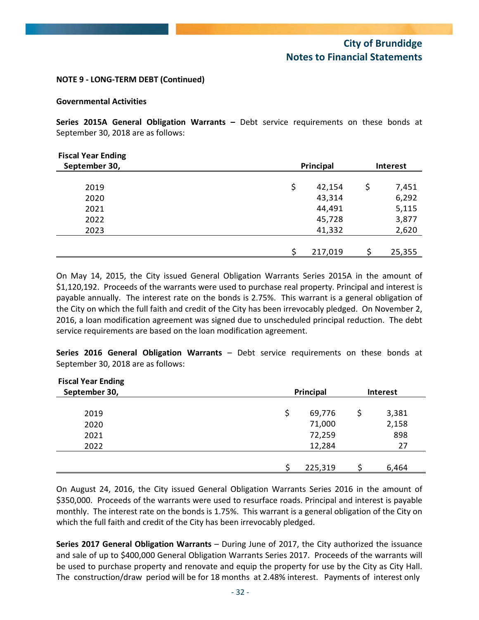#### **NOTE 9 ‐ LONG‐TERM DEBT (Continued)**

#### **Governmental Activities**

**Series 2015A General Obligation Warrants –** Debt service requirements on these bonds at September 30, 2018 are as follows:

| <b>Fiscal Year Ending</b> |               |                 |
|---------------------------|---------------|-----------------|
| September 30,             | Principal     | <b>Interest</b> |
|                           |               |                 |
| 2019                      | \$<br>42,154  | \$<br>7,451     |
| 2020                      | 43,314        | 6,292           |
| 2021                      | 44,491        | 5,115           |
| 2022                      | 45,728        | 3,877           |
| 2023                      | 41,332        | 2,620           |
|                           |               |                 |
|                           | \$<br>217,019 | 25,355          |

On May 14, 2015, the City issued General Obligation Warrants Series 2015A in the amount of \$1,120,192. Proceeds of the warrants were used to purchase real property. Principal and interest is payable annually. The interest rate on the bonds is 2.75%. This warrant is a general obligation of the City on which the full faith and credit of the City has been irrevocably pledged. On November 2, 2016, a loan modification agreement was signed due to unscheduled principal reduction. The debt service requirements are based on the loan modification agreement.

**Series 2016 General Obligation Warrants** – Debt service requirements on these bonds at September 30, 2018 are as follows:

| <b>Fiscal Year Ending</b> |              |                 |
|---------------------------|--------------|-----------------|
| September 30,             | Principal    | <b>Interest</b> |
|                           |              |                 |
| 2019                      | \$<br>69,776 | 3,381           |
| 2020                      | 71,000       | 2,158           |
| 2021                      | 72,259       | 898             |
| 2022                      | 12,284       | 27              |
|                           |              |                 |
|                           | 225,319      | 6,464           |

On August 24, 2016, the City issued General Obligation Warrants Series 2016 in the amount of \$350,000. Proceeds of the warrants were used to resurface roads. Principal and interest is payable monthly. The interest rate on the bonds is 1.75%. This warrant is a general obligation of the City on which the full faith and credit of the City has been irrevocably pledged.

**Series 2017 General Obligation Warrants** – During June of 2017, the City authorized the issuance and sale of up to \$400,000 General Obligation Warrants Series 2017. Proceeds of the warrants will be used to purchase property and renovate and equip the property for use by the City as City Hall. The construction/draw period will be for 18 months at 2.48% interest. Payments of interest only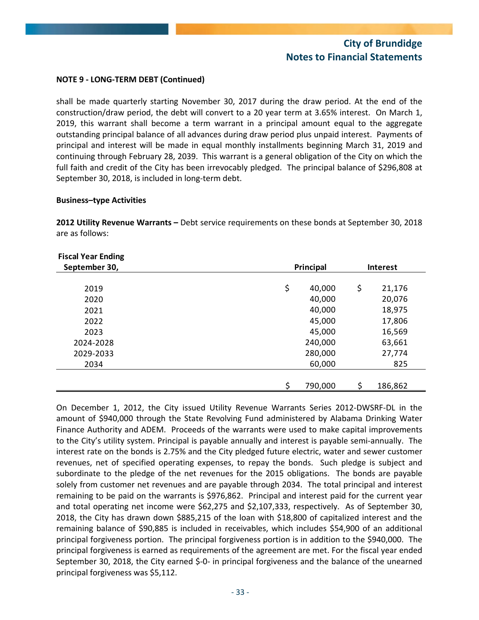### **NOTE 9 ‐ LONG‐TERM DEBT (Continued)**

shall be made quarterly starting November 30, 2017 during the draw period. At the end of the construction/draw period, the debt will convert to a 20 year term at 3.65% interest. On March 1, 2019, this warrant shall become a term warrant in a principal amount equal to the aggregate outstanding principal balance of all advances during draw period plus unpaid interest. Payments of principal and interest will be made in equal monthly installments beginning March 31, 2019 and continuing through February 28, 2039. This warrant is a general obligation of the City on which the full faith and credit of the City has been irrevocably pledged. The principal balance of \$296,808 at September 30, 2018, is included in long-term debt.

#### **Business–type Activities**

**2012 Utility Revenue Warrants –** Debt service requirements on these bonds at September 30, 2018 are as follows:

| <b>Fiscal Year Ending</b> |           |              |                 |
|---------------------------|-----------|--------------|-----------------|
| September 30,             | Principal |              | <b>Interest</b> |
|                           |           |              |                 |
| 2019                      | \$        | \$<br>40,000 | 21,176          |
| 2020                      |           | 40,000       | 20,076          |
| 2021                      |           | 40,000       | 18,975          |
| 2022                      |           | 45,000       | 17,806          |
| 2023                      |           | 45,000       | 16,569          |
| 2024-2028                 |           | 240,000      | 63,661          |
| 2029-2033                 |           | 280,000      | 27,774          |
| 2034                      |           | 60,000       | 825             |
|                           |           |              |                 |
|                           |           | 790,000      | 186,862         |

On December 1, 2012, the City issued Utility Revenue Warrants Series 2012‐DWSRF‐DL in the amount of \$940,000 through the State Revolving Fund administered by Alabama Drinking Water Finance Authority and ADEM. Proceeds of the warrants were used to make capital improvements to the City's utility system. Principal is payable annually and interest is payable semi‐annually. The interest rate on the bonds is 2.75% and the City pledged future electric, water and sewer customer revenues, net of specified operating expenses, to repay the bonds. Such pledge is subject and subordinate to the pledge of the net revenues for the 2015 obligations. The bonds are payable solely from customer net revenues and are payable through 2034. The total principal and interest remaining to be paid on the warrants is \$976,862. Principal and interest paid for the current year and total operating net income were \$62,275 and \$2,107,333, respectively. As of September 30, 2018, the City has drawn down \$885,215 of the loan with \$18,800 of capitalized interest and the remaining balance of \$90,885 is included in receivables, which includes \$54,900 of an additional principal forgiveness portion. The principal forgiveness portion is in addition to the \$940,000. The principal forgiveness is earned as requirements of the agreement are met. For the fiscal year ended September 30, 2018, the City earned \$-0- in principal forgiveness and the balance of the unearned principal forgiveness was \$5,112.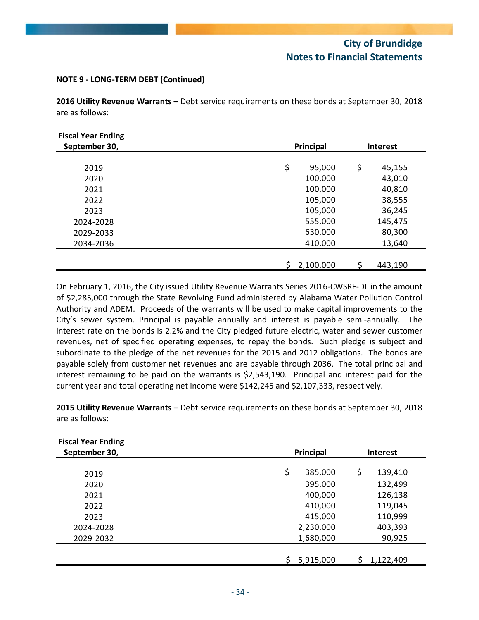## **NOTE 9 ‐ LONG‐TERM DEBT (Continued)**

**2016 Utility Revenue Warrants –** Debt service requirements on these bonds at September 30, 2018 are as follows:

| <b>Fiscal Year Ending</b> |              |                 |
|---------------------------|--------------|-----------------|
| September 30,             | Principal    | <b>Interest</b> |
|                           |              |                 |
| 2019                      | \$<br>95,000 | \$<br>45,155    |
| 2020                      | 100,000      | 43,010          |
| 2021                      | 100,000      | 40,810          |
| 2022                      | 105,000      | 38,555          |
| 2023                      | 105,000      | 36,245          |
| 2024-2028                 | 555,000      | 145,475         |
| 2029-2033                 | 630,000      | 80,300          |
| 2034-2036                 | 410,000      | 13,640          |
|                           |              |                 |
|                           | 2,100,000    | 443,190         |

On February 1, 2016, the City issued Utility Revenue Warrants Series 2016‐CWSRF‐DL in the amount of \$2,285,000 through the State Revolving Fund administered by Alabama Water Pollution Control Authority and ADEM. Proceeds of the warrants will be used to make capital improvements to the City's sewer system. Principal is payable annually and interest is payable semi-annually. The interest rate on the bonds is 2.2% and the City pledged future electric, water and sewer customer revenues, net of specified operating expenses, to repay the bonds. Such pledge is subject and subordinate to the pledge of the net revenues for the 2015 and 2012 obligations. The bonds are payable solely from customer net revenues and are payable through 2036. The total principal and interest remaining to be paid on the warrants is \$2,543,190. Principal and interest paid for the current year and total operating net income were \$142,245 and \$2,107,333, respectively.

**2015 Utility Revenue Warrants –** Debt service requirements on these bonds at September 30, 2018 are as follows:

| <b>Fiscal Year Ending</b> |               |                 |
|---------------------------|---------------|-----------------|
| September 30,             | Principal     | <b>Interest</b> |
|                           |               |                 |
| 2019                      | \$<br>385,000 | \$<br>139,410   |
| 2020                      | 395,000       | 132,499         |
| 2021                      | 400,000       | 126,138         |
| 2022                      | 410,000       | 119,045         |
| 2023                      | 415,000       | 110,999         |
| 2024-2028                 | 2,230,000     | 403,393         |
| 2029-2032                 | 1,680,000     | 90,925          |
|                           |               |                 |
|                           | 5,915,000     | 1,122,409       |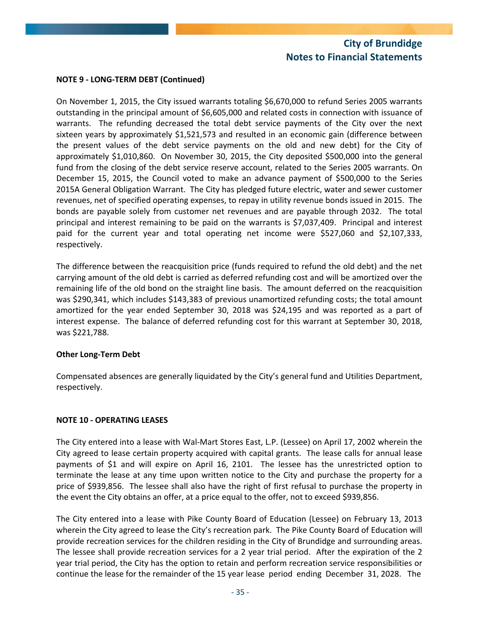### **NOTE 9 ‐ LONG‐TERM DEBT (Continued)**

On November 1, 2015, the City issued warrants totaling \$6,670,000 to refund Series 2005 warrants outstanding in the principal amount of \$6,605,000 and related costs in connection with issuance of warrants. The refunding decreased the total debt service payments of the City over the next sixteen years by approximately \$1,521,573 and resulted in an economic gain (difference between the present values of the debt service payments on the old and new debt) for the City of approximately \$1,010,860. On November 30, 2015, the City deposited \$500,000 into the general fund from the closing of the debt service reserve account, related to the Series 2005 warrants. On December 15, 2015, the Council voted to make an advance payment of \$500,000 to the Series 2015A General Obligation Warrant. The City has pledged future electric, water and sewer customer revenues, net of specified operating expenses, to repay in utility revenue bonds issued in 2015. The bonds are payable solely from customer net revenues and are payable through 2032. The total principal and interest remaining to be paid on the warrants is \$7,037,409. Principal and interest paid for the current year and total operating net income were \$527,060 and \$2,107,333, respectively.

The difference between the reacquisition price (funds required to refund the old debt) and the net carrying amount of the old debt is carried as deferred refunding cost and will be amortized over the remaining life of the old bond on the straight line basis. The amount deferred on the reacquisition was \$290,341, which includes \$143,383 of previous unamortized refunding costs; the total amount amortized for the year ended September 30, 2018 was \$24,195 and was reported as a part of interest expense. The balance of deferred refunding cost for this warrant at September 30, 2018, was \$221,788.

#### **Other Long‐Term Debt**

Compensated absences are generally liquidated by the City's general fund and Utilities Department, respectively.

### **NOTE 10 ‐ OPERATING LEASES**

The City entered into a lease with Wal‐Mart Stores East, L.P. (Lessee) on April 17, 2002 wherein the City agreed to lease certain property acquired with capital grants. The lease calls for annual lease payments of \$1 and will expire on April 16, 2101. The lessee has the unrestricted option to terminate the lease at any time upon written notice to the City and purchase the property for a price of \$939,856. The lessee shall also have the right of first refusal to purchase the property in the event the City obtains an offer, at a price equal to the offer, not to exceed \$939,856.

The City entered into a lease with Pike County Board of Education (Lessee) on February 13, 2013 wherein the City agreed to lease the City's recreation park. The Pike County Board of Education will provide recreation services for the children residing in the City of Brundidge and surrounding areas. The lessee shall provide recreation services for a 2 year trial period. After the expiration of the 2 year trial period, the City has the option to retain and perform recreation service responsibilities or continue the lease for the remainder of the 15 year lease period ending December 31, 2028. The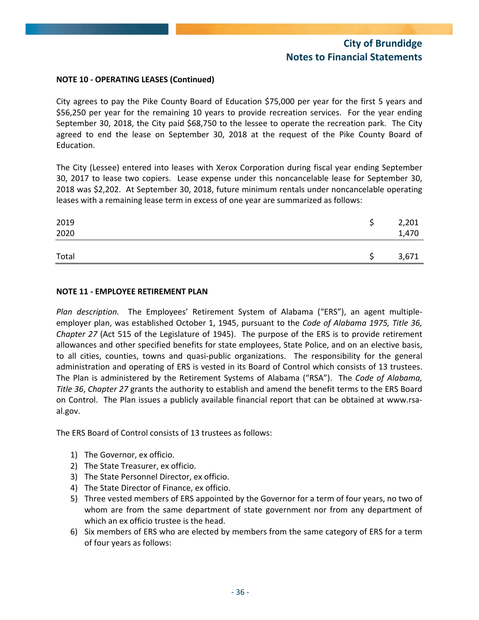## **NOTE 10 ‐ OPERATING LEASES (Continued)**

City agrees to pay the Pike County Board of Education \$75,000 per year for the first 5 years and \$56,250 per year for the remaining 10 years to provide recreation services. For the year ending September 30, 2018, the City paid \$68,750 to the lessee to operate the recreation park. The City agreed to end the lease on September 30, 2018 at the request of the Pike County Board of Education.

The City (Lessee) entered into leases with Xerox Corporation during fiscal year ending September 30, 2017 to lease two copiers. Lease expense under this noncancelable lease for September 30, 2018 was \$2,202. At September 30, 2018, future minimum rentals under noncancelable operating leases with a remaining lease term in excess of one year are summarized as follows:

| 2019<br>2020 | ٮ | 2,201<br>1,470 |
|--------------|---|----------------|
| Total        |   | 3,671          |

### **NOTE 11 ‐ EMPLOYEE RETIREMENT PLAN**

*Plan description.* The Employees' Retirement System of Alabama ("ERS"), an agent multipleemployer plan, was established October 1, 1945, pursuant to the *Code of Alabama 1975, Title 36, Chapter 27* (Act 515 of the Legislature of 1945). The purpose of the ERS is to provide retirement allowances and other specified benefits for state employees, State Police, and on an elective basis, to all cities, counties, towns and quasi‐public organizations. The responsibility for the general administration and operating of ERS is vested in its Board of Control which consists of 13 trustees. The Plan is administered by the Retirement Systems of Alabama ("RSA"). The *Code of Alabama, Title 36*, *Chapter 27* grants the authority to establish and amend the benefit terms to the ERS Board on Control. The Plan issues a publicly available financial report that can be obtained at www.rsa‐ al.gov.

The ERS Board of Control consists of 13 trustees as follows:

- 1) The Governor, ex officio.
- 2) The State Treasurer, ex officio.
- 3) The State Personnel Director, ex officio.
- 4) The State Director of Finance, ex officio.
- 5) Three vested members of ERS appointed by the Governor for a term of four years, no two of whom are from the same department of state government nor from any department of which an ex officio trustee is the head.
- 6) Six members of ERS who are elected by members from the same category of ERS for a term of four years as follows: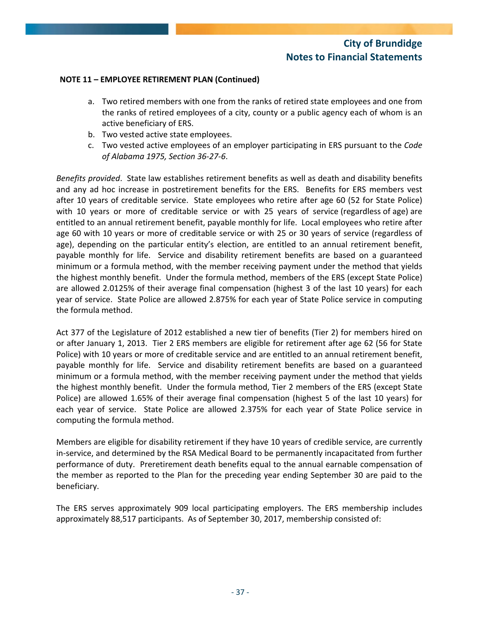# **NOTE 11 – EMPLOYEE RETIREMENT PLAN (Continued)**

- a. Two retired members with one from the ranks of retired state employees and one from the ranks of retired employees of a city, county or a public agency each of whom is an active beneficiary of ERS.
- b. Two vested active state employees.
- c. Two vested active employees of an employer participating in ERS pursuant to the *Code of Alabama 1975, Section 36‐27‐6*.

*Benefits provided*. State law establishes retirement benefits as well as death and disability benefits and any ad hoc increase in postretirement benefits for the ERS. Benefits for ERS members vest after 10 years of creditable service. State employees who retire after age 60 (52 for State Police) with 10 years or more of creditable service or with 25 years of service (regardless of age) are entitled to an annual retirement benefit, payable monthly for life. Local employees who retire after age 60 with 10 years or more of creditable service or with 25 or 30 years of service (regardless of age), depending on the particular entity's election, are entitled to an annual retirement benefit, payable monthly for life. Service and disability retirement benefits are based on a guaranteed minimum or a formula method, with the member receiving payment under the method that yields the highest monthly benefit. Under the formula method, members of the ERS (except State Police) are allowed 2.0125% of their average final compensation (highest 3 of the last 10 years) for each year of service. State Police are allowed 2.875% for each year of State Police service in computing the formula method.

Act 377 of the Legislature of 2012 established a new tier of benefits (Tier 2) for members hired on or after January 1, 2013. Tier 2 ERS members are eligible for retirement after age 62 (56 for State Police) with 10 years or more of creditable service and are entitled to an annual retirement benefit, payable monthly for life. Service and disability retirement benefits are based on a guaranteed minimum or a formula method, with the member receiving payment under the method that yields the highest monthly benefit. Under the formula method, Tier 2 members of the ERS (except State Police) are allowed 1.65% of their average final compensation (highest 5 of the last 10 years) for each year of service. State Police are allowed 2.375% for each year of State Police service in computing the formula method.

Members are eligible for disability retirement if they have 10 years of credible service, are currently in-service, and determined by the RSA Medical Board to be permanently incapacitated from further performance of duty. Preretirement death benefits equal to the annual earnable compensation of the member as reported to the Plan for the preceding year ending September 30 are paid to the beneficiary.

The ERS serves approximately 909 local participating employers. The ERS membership includes approximately 88,517 participants. As of September 30, 2017, membership consisted of: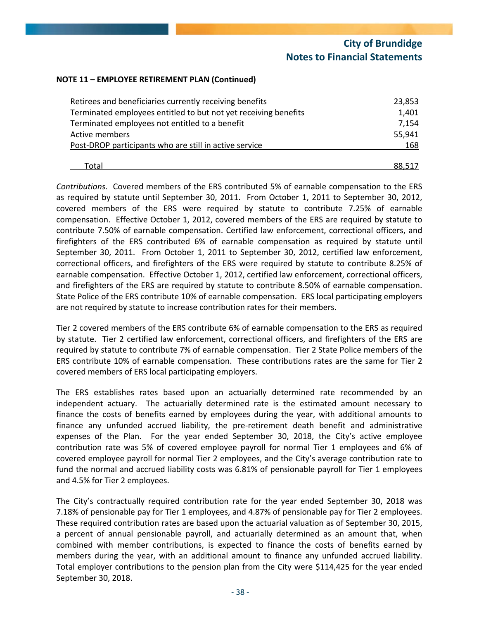## **NOTE 11 – EMPLOYEE RETIREMENT PLAN (Continued)**

| Retirees and beneficiaries currently receiving benefits         | 23,853 |
|-----------------------------------------------------------------|--------|
| Terminated employees entitled to but not yet receiving benefits | 1,401  |
| Terminated employees not entitled to a benefit                  | 7,154  |
| Active members                                                  | 55,941 |
| Post-DROP participants who are still in active service          | 168    |
|                                                                 |        |
| Total                                                           | 88,517 |

*Contributions*. Covered members of the ERS contributed 5% of earnable compensation to the ERS as required by statute until September 30, 2011. From October 1, 2011 to September 30, 2012, covered members of the ERS were required by statute to contribute 7.25% of earnable compensation. Effective October 1, 2012, covered members of the ERS are required by statute to contribute 7.50% of earnable compensation. Certified law enforcement, correctional officers, and firefighters of the ERS contributed 6% of earnable compensation as required by statute until September 30, 2011. From October 1, 2011 to September 30, 2012, certified law enforcement, correctional officers, and firefighters of the ERS were required by statute to contribute 8.25% of earnable compensation. Effective October 1, 2012, certified law enforcement, correctional officers, and firefighters of the ERS are required by statute to contribute 8.50% of earnable compensation. State Police of the ERS contribute 10% of earnable compensation. ERS local participating employers are not required by statute to increase contribution rates for their members.

Tier 2 covered members of the ERS contribute 6% of earnable compensation to the ERS as required by statute. Tier 2 certified law enforcement, correctional officers, and firefighters of the ERS are required by statute to contribute 7% of earnable compensation. Tier 2 State Police members of the ERS contribute 10% of earnable compensation. These contributions rates are the same for Tier 2 covered members of ERS local participating employers.

The ERS establishes rates based upon an actuarially determined rate recommended by an independent actuary. The actuarially determined rate is the estimated amount necessary to finance the costs of benefits earned by employees during the year, with additional amounts to finance any unfunded accrued liability, the pre-retirement death benefit and administrative expenses of the Plan. For the year ended September 30, 2018, the City's active employee contribution rate was 5% of covered employee payroll for normal Tier 1 employees and 6% of covered employee payroll for normal Tier 2 employees, and the City's average contribution rate to fund the normal and accrued liability costs was 6.81% of pensionable payroll for Tier 1 employees and 4.5% for Tier 2 employees.

The City's contractually required contribution rate for the year ended September 30, 2018 was 7.18% of pensionable pay for Tier 1 employees, and 4.87% of pensionable pay for Tier 2 employees. These required contribution rates are based upon the actuarial valuation as of September 30, 2015, a percent of annual pensionable payroll, and actuarially determined as an amount that, when combined with member contributions, is expected to finance the costs of benefits earned by members during the year, with an additional amount to finance any unfunded accrued liability. Total employer contributions to the pension plan from the City were \$114,425 for the year ended September 30, 2018.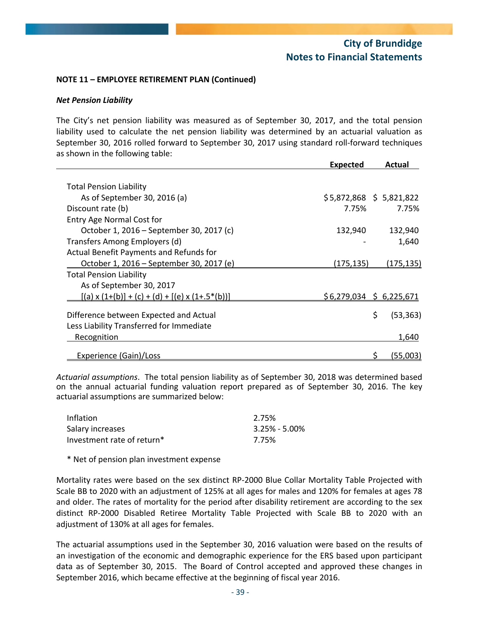#### **NOTE 11 – EMPLOYEE RETIREMENT PLAN (Continued)**

#### *Net Pension Liability*

The City's net pension liability was measured as of September 30, 2017, and the total pension liability used to calculate the net pension liability was determined by an actuarial valuation as September 30, 2016 rolled forward to September 30, 2017 using standard roll‐forward techniques as shown in the following table:

|                                                              | <b>Expected</b> | Actual                    |
|--------------------------------------------------------------|-----------------|---------------------------|
|                                                              |                 |                           |
| <b>Total Pension Liability</b>                               |                 |                           |
| As of September 30, 2016 (a)                                 |                 | $$5,872,868$ \$ 5,821,822 |
| Discount rate (b)                                            | 7.75%           | 7.75%                     |
| Entry Age Normal Cost for                                    |                 |                           |
| October 1, 2016 – September 30, 2017 (c)                     | 132,940         | 132,940                   |
| Transfers Among Employers (d)                                |                 | 1,640                     |
| Actual Benefit Payments and Refunds for                      |                 |                           |
| October 1, 2016 – September 30, 2017 (e)                     | (175, 135)      | (175,135)                 |
| <b>Total Pension Liability</b>                               |                 |                           |
| As of September 30, 2017                                     |                 |                           |
| $[(a) \times (1+(b))] + (c) + (d) + [(e) \times (1+.5*(b))]$ |                 | \$6,279,034 \$6,225,671   |
| Difference between Expected and Actual                       |                 | \$<br>(53, 363)           |
| Less Liability Transferred for Immediate                     |                 |                           |
| Recognition                                                  |                 | 1,640                     |
| <b>Experience (Gain)/Loss</b>                                |                 | (55,003)                  |

*Actuarial assumptions*. The total pension liability as of September 30, 2018 was determined based on the annual actuarial funding valuation report prepared as of September 30, 2016. The key actuarial assumptions are summarized below:

| Inflation                  | 2.75%             |
|----------------------------|-------------------|
| Salary increases           | $3.25\% - 5.00\%$ |
| Investment rate of return* | 7.75%             |

\* Net of pension plan investment expense

Mortality rates were based on the sex distinct RP‐2000 Blue Collar Mortality Table Projected with Scale BB to 2020 with an adjustment of 125% at all ages for males and 120% for females at ages 78 and older. The rates of mortality for the period after disability retirement are according to the sex distinct RP‐2000 Disabled Retiree Mortality Table Projected with Scale BB to 2020 with an adjustment of 130% at all ages for females.

The actuarial assumptions used in the September 30, 2016 valuation were based on the results of an investigation of the economic and demographic experience for the ERS based upon participant data as of September 30, 2015. The Board of Control accepted and approved these changes in September 2016, which became effective at the beginning of fiscal year 2016.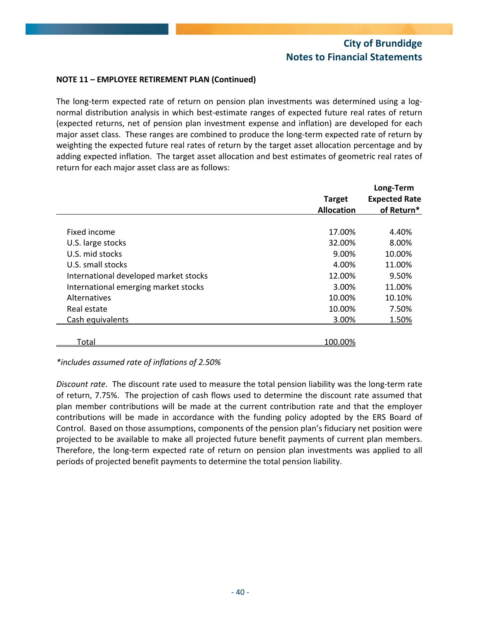# **NOTE 11 – EMPLOYEE RETIREMENT PLAN (Continued)**

The long-term expected rate of return on pension plan investments was determined using a lognormal distribution analysis in which best-estimate ranges of expected future real rates of return (expected returns, net of pension plan investment expense and inflation) are developed for each major asset class. These ranges are combined to produce the long-term expected rate of return by weighting the expected future real rates of return by the target asset allocation percentage and by adding expected inflation. The target asset allocation and best estimates of geometric real rates of return for each major asset class are as follows:

|                                       | <b>Target</b><br><b>Allocation</b> | Long-Term<br><b>Expected Rate</b><br>of Return* |
|---------------------------------------|------------------------------------|-------------------------------------------------|
| Fixed income                          | 17.00%                             | 4.40%                                           |
| U.S. large stocks                     | 32.00%                             | 8.00%                                           |
| U.S. mid stocks                       | 9.00%                              | 10.00%                                          |
| U.S. small stocks                     | 4.00%                              | 11.00%                                          |
| International developed market stocks | 12.00%                             | 9.50%                                           |
| International emerging market stocks  | 3.00%                              | 11.00%                                          |
| Alternatives                          | 10.00%                             | 10.10%                                          |
| Real estate                           | 10.00%                             | 7.50%                                           |
| Cash equivalents                      | 3.00%                              | 1.50%                                           |
|                                       |                                    |                                                 |
| Total                                 | 100.00%                            |                                                 |

*\*includes assumed rate of inflations of 2.50%*

*Discount rate*. The discount rate used to measure the total pension liability was the long‐term rate of return, 7.75%. The projection of cash flows used to determine the discount rate assumed that plan member contributions will be made at the current contribution rate and that the employer contributions will be made in accordance with the funding policy adopted by the ERS Board of Control. Based on those assumptions, components of the pension plan's fiduciary net position were projected to be available to make all projected future benefit payments of current plan members. Therefore, the long-term expected rate of return on pension plan investments was applied to all periods of projected benefit payments to determine the total pension liability.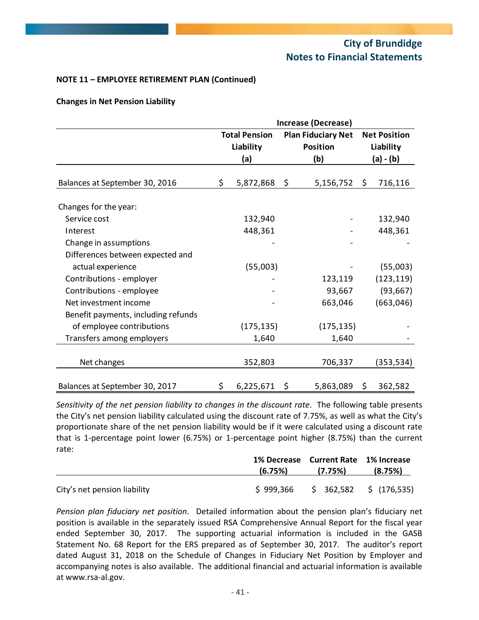### **NOTE 11 – EMPLOYEE RETIREMENT PLAN (Continued)**

**Changes in Net Pension Liability**

|                                     | <b>Increase (Decrease)</b> |                      |    |                           |                     |            |  |
|-------------------------------------|----------------------------|----------------------|----|---------------------------|---------------------|------------|--|
|                                     |                            | <b>Total Pension</b> |    | <b>Plan Fiduciary Net</b> | <b>Net Position</b> |            |  |
|                                     |                            | Liability            |    | <b>Position</b>           |                     | Liability  |  |
|                                     |                            | (a)                  |    | (b)                       |                     | (a) - (b)  |  |
| Balances at September 30, 2016      | \$                         | 5,872,868            | \$ | 5,156,752                 | \$                  | 716,116    |  |
|                                     |                            |                      |    |                           |                     |            |  |
| Changes for the year:               |                            |                      |    |                           |                     |            |  |
| Service cost                        |                            | 132,940              |    |                           |                     | 132,940    |  |
| Interest                            |                            | 448,361              |    |                           |                     | 448,361    |  |
| Change in assumptions               |                            |                      |    |                           |                     |            |  |
| Differences between expected and    |                            |                      |    |                           |                     |            |  |
| actual experience                   |                            | (55,003)             |    |                           |                     | (55,003)   |  |
| Contributions - employer            |                            |                      |    | 123,119                   |                     | (123, 119) |  |
| Contributions - employee            |                            |                      |    | 93,667                    |                     | (93, 667)  |  |
| Net investment income               |                            |                      |    | 663,046                   |                     | (663, 046) |  |
| Benefit payments, including refunds |                            |                      |    |                           |                     |            |  |
| of employee contributions           |                            | (175, 135)           |    | (175, 135)                |                     |            |  |
| Transfers among employers           |                            | 1,640                |    | 1,640                     |                     |            |  |
|                                     |                            |                      |    |                           |                     |            |  |
| Net changes                         |                            | 352,803              |    | 706,337                   |                     | (353,534)  |  |
|                                     |                            |                      |    |                           |                     |            |  |
| Balances at September 30, 2017      | \$                         | 6,225,671            | \$ | 5,863,089                 | \$                  | 362,582    |  |

*Sensitivity of the net pension liability to changes in the discount rate*. The following table presents the City's net pension liability calculated using the discount rate of 7.75%, as well as what the City's proportionate share of the net pension liability would be if it were calculated using a discount rate that is 1‐percentage point lower (6.75%) or 1‐percentage point higher (8.75%) than the current rate:

|                              | 1% Decrease Current Rate 1% Increase<br>(6.75%) | (7.75%)                  | (8.75%) |
|------------------------------|-------------------------------------------------|--------------------------|---------|
| City's net pension liability | \$999,366                                       | $$362,582 \t$ (176,535)$ |         |

*Pension plan fiduciary net position*. Detailed information about the pension plan's fiduciary net position is available in the separately issued RSA Comprehensive Annual Report for the fiscal year ended September 30, 2017. The supporting actuarial information is included in the GASB Statement No. 68 Report for the ERS prepared as of September 30, 2017. The auditor's report dated August 31, 2018 on the Schedule of Changes in Fiduciary Net Position by Employer and accompanying notes is also available. The additional financial and actuarial information is available at www.rsa‐al.gov.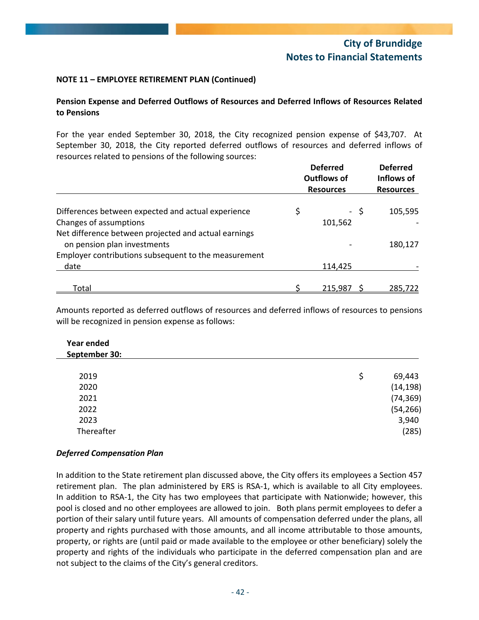## **NOTE 11 – EMPLOYEE RETIREMENT PLAN (Continued)**

# **Pension Expense and Deferred Outflows of Resources and Deferred Inflows of Resources Related to Pensions**

For the year ended September 30, 2018, the City recognized pension expense of \$43,707. At September 30, 2018, the City reported deferred outflows of resources and deferred inflows of resources related to pensions of the following sources:

|                                                                                     | <b>Deferred</b><br><b>Outflows of</b><br><b>Resources</b> | <b>Deferred</b><br>Inflows of<br><b>Resources</b> |  |
|-------------------------------------------------------------------------------------|-----------------------------------------------------------|---------------------------------------------------|--|
| Differences between expected and actual experience                                  | \$<br>- S                                                 | 105,595                                           |  |
| Changes of assumptions                                                              | 101,562                                                   |                                                   |  |
| Net difference between projected and actual earnings<br>on pension plan investments |                                                           | 180,127                                           |  |
| Employer contributions subsequent to the measurement                                |                                                           |                                                   |  |
| date                                                                                | 114,425                                                   |                                                   |  |
| <u>Total</u>                                                                        | 215,987                                                   | <u>285,722</u>                                    |  |

Amounts reported as deferred outflows of resources and deferred inflows of resources to pensions will be recognized in pension expense as follows:

# **Year ended September 30:**

| 2019       | Ş | 69,443    |
|------------|---|-----------|
| 2020       |   | (14, 198) |
| 2021       |   | (74, 369) |
| 2022       |   | (54, 266) |
| 2023       |   | 3,940     |
| Thereafter |   | (285)     |
|            |   |           |

### *Deferred Compensation Plan*

In addition to the State retirement plan discussed above, the City offers its employees a Section 457 retirement plan. The plan administered by ERS is RSA-1, which is available to all City employees. In addition to RSA‐1, the City has two employees that participate with Nationwide; however, this pool is closed and no other employees are allowed to join. Both plans permit employees to defer a portion of their salary until future years. All amounts of compensation deferred under the plans, all property and rights purchased with those amounts, and all income attributable to those amounts, property, or rights are (until paid or made available to the employee or other beneficiary) solely the property and rights of the individuals who participate in the deferred compensation plan and are not subject to the claims of the City's general creditors.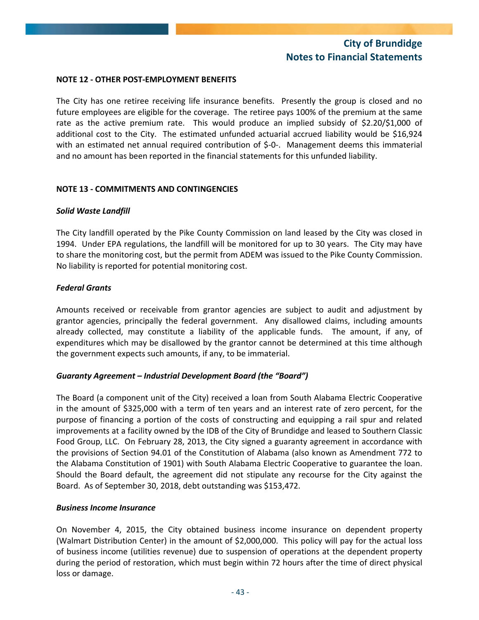### **NOTE 12 ‐ OTHER POST‐EMPLOYMENT BENEFITS**

The City has one retiree receiving life insurance benefits. Presently the group is closed and no future employees are eligible for the coverage. The retiree pays 100% of the premium at the same rate as the active premium rate. This would produce an implied subsidy of \$2.20/\$1,000 of additional cost to the City. The estimated unfunded actuarial accrued liability would be \$16,924 with an estimated net annual required contribution of \$-0-. Management deems this immaterial and no amount has been reported in the financial statements for this unfunded liability.

### **NOTE 13 ‐ COMMITMENTS AND CONTINGENCIES**

### *Solid Waste Landfill*

The City landfill operated by the Pike County Commission on land leased by the City was closed in 1994. Under EPA regulations, the landfill will be monitored for up to 30 years. The City may have to share the monitoring cost, but the permit from ADEM was issued to the Pike County Commission. No liability is reported for potential monitoring cost.

### *Federal Grants*

Amounts received or receivable from grantor agencies are subject to audit and adjustment by grantor agencies, principally the federal government. Any disallowed claims, including amounts already collected, may constitute a liability of the applicable funds. The amount, if any, of expenditures which may be disallowed by the grantor cannot be determined at this time although the government expects such amounts, if any, to be immaterial.

### *Guaranty Agreement – Industrial Development Board (the "Board")*

The Board (a component unit of the City) received a loan from South Alabama Electric Cooperative in the amount of \$325,000 with a term of ten years and an interest rate of zero percent, for the purpose of financing a portion of the costs of constructing and equipping a rail spur and related improvements at a facility owned by the IDB of the City of Brundidge and leased to Southern Classic Food Group, LLC. On February 28, 2013, the City signed a guaranty agreement in accordance with the provisions of Section 94.01 of the Constitution of Alabama (also known as Amendment 772 to the Alabama Constitution of 1901) with South Alabama Electric Cooperative to guarantee the loan. Should the Board default, the agreement did not stipulate any recourse for the City against the Board. As of September 30, 2018, debt outstanding was \$153,472.

### *Business Income Insurance*

On November 4, 2015, the City obtained business income insurance on dependent property (Walmart Distribution Center) in the amount of \$2,000,000. This policy will pay for the actual loss of business income (utilities revenue) due to suspension of operations at the dependent property during the period of restoration, which must begin within 72 hours after the time of direct physical loss or damage.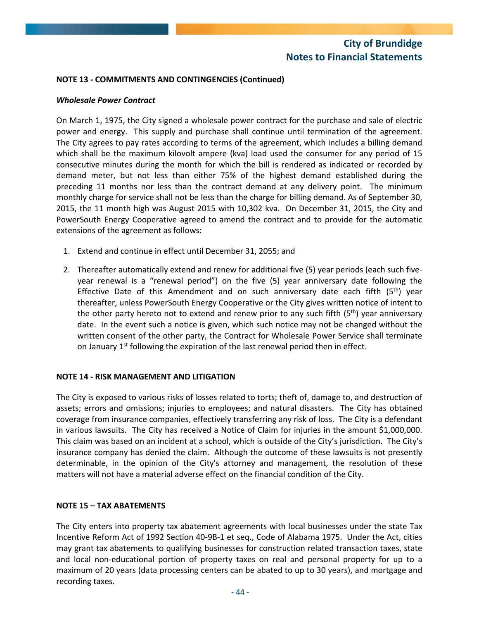## **NOTE 13 ‐ COMMITMENTS AND CONTINGENCIES (Continued)**

#### *Wholesale Power Contract*

On March 1, 1975, the City signed a wholesale power contract for the purchase and sale of electric power and energy. This supply and purchase shall continue until termination of the agreement. The City agrees to pay rates according to terms of the agreement, which includes a billing demand which shall be the maximum kilovolt ampere (kva) load used the consumer for any period of 15 consecutive minutes during the month for which the bill is rendered as indicated or recorded by demand meter, but not less than either 75% of the highest demand established during the preceding 11 months nor less than the contract demand at any delivery point. The minimum monthly charge for service shall not be less than the charge for billing demand. As of September 30, 2015, the 11 month high was August 2015 with 10,302 kva. On December 31, 2015, the City and PowerSouth Energy Cooperative agreed to amend the contract and to provide for the automatic extensions of the agreement as follows:

- 1. Extend and continue in effect until December 31, 2055; and
- 2. Thereafter automatically extend and renew for additional five (5) year periods (each such fiveyear renewal is a "renewal period") on the five (5) year anniversary date following the Effective Date of this Amendment and on such anniversary date each fifth  $(5<sup>th</sup>)$  year thereafter, unless PowerSouth Energy Cooperative or the City gives written notice of intent to the other party hereto not to extend and renew prior to any such fifth  $(5<sup>th</sup>)$  year anniversary date. In the event such a notice is given, which such notice may not be changed without the written consent of the other party, the Contract for Wholesale Power Service shall terminate on January  $1<sup>st</sup>$  following the expiration of the last renewal period then in effect.

### **NOTE 14 ‐ RISK MANAGEMENT AND LITIGATION**

The City is exposed to various risks of losses related to torts; theft of, damage to, and destruction of assets; errors and omissions; injuries to employees; and natural disasters. The City has obtained coverage from insurance companies, effectively transferring any risk of loss. The City is a defendant in various lawsuits. The City has received a Notice of Claim for injuries in the amount \$1,000,000. This claim was based on an incident at a school, which is outside of the City's jurisdiction. The City's insurance company has denied the claim. Although the outcome of these lawsuits is not presently determinable, in the opinion of the City's attorney and management, the resolution of these matters will not have a material adverse effect on the financial condition of the City.

### **NOTE 15 – TAX ABATEMENTS**

The City enters into property tax abatement agreements with local businesses under the state Tax Incentive Reform Act of 1992 Section 40‐9B‐1 et seq., Code of Alabama 1975. Under the Act, cities may grant tax abatements to qualifying businesses for construction related transaction taxes, state and local non‐educational portion of property taxes on real and personal property for up to a maximum of 20 years (data processing centers can be abated to up to 30 years), and mortgage and recording taxes.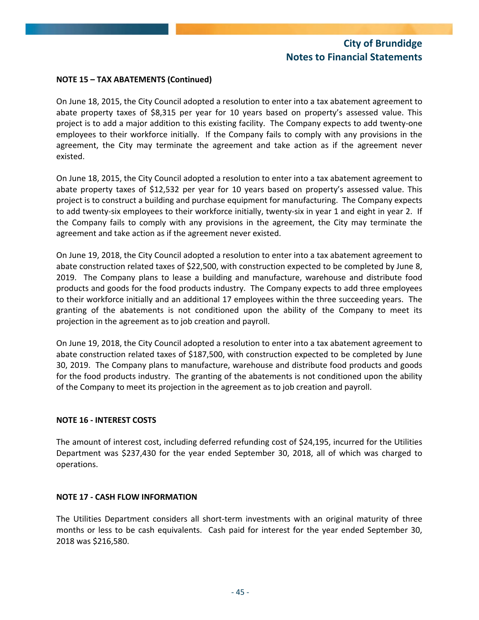## **NOTE 15 – TAX ABATEMENTS (Continued)**

On June 18, 2015, the City Council adopted a resolution to enter into a tax abatement agreement to abate property taxes of \$8,315 per year for 10 years based on property's assessed value. This project is to add a major addition to this existing facility. The Company expects to add twenty‐one employees to their workforce initially. If the Company fails to comply with any provisions in the agreement, the City may terminate the agreement and take action as if the agreement never existed.

On June 18, 2015, the City Council adopted a resolution to enter into a tax abatement agreement to abate property taxes of \$12,532 per year for 10 years based on property's assessed value. This project is to construct a building and purchase equipment for manufacturing. The Company expects to add twenty‐six employees to their workforce initially, twenty‐six in year 1 and eight in year 2. If the Company fails to comply with any provisions in the agreement, the City may terminate the agreement and take action as if the agreement never existed.

On June 19, 2018, the City Council adopted a resolution to enter into a tax abatement agreement to abate construction related taxes of \$22,500, with construction expected to be completed by June 8, 2019. The Company plans to lease a building and manufacture, warehouse and distribute food products and goods for the food products industry. The Company expects to add three employees to their workforce initially and an additional 17 employees within the three succeeding years. The granting of the abatements is not conditioned upon the ability of the Company to meet its projection in the agreement as to job creation and payroll.

On June 19, 2018, the City Council adopted a resolution to enter into a tax abatement agreement to abate construction related taxes of \$187,500, with construction expected to be completed by June 30, 2019. The Company plans to manufacture, warehouse and distribute food products and goods for the food products industry. The granting of the abatements is not conditioned upon the ability of the Company to meet its projection in the agreement as to job creation and payroll.

### **NOTE 16 ‐ INTEREST COSTS**

The amount of interest cost, including deferred refunding cost of \$24,195, incurred for the Utilities Department was \$237,430 for the year ended September 30, 2018, all of which was charged to operations.

### **NOTE 17 ‐ CASH FLOW INFORMATION**

The Utilities Department considers all short-term investments with an original maturity of three months or less to be cash equivalents. Cash paid for interest for the year ended September 30, 2018 was \$216,580.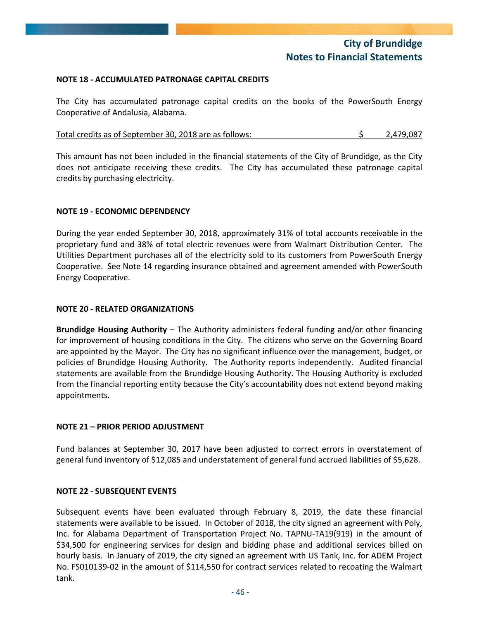# **NOTE 18 ‐ ACCUMULATED PATRONAGE CAPITAL CREDITS**

The City has accumulated patronage capital credits on the books of the PowerSouth Energy Cooperative of Andalusia, Alabama.

| Total credits as of September 30, 2018 are as follows: |  | .479,087 |
|--------------------------------------------------------|--|----------|
|                                                        |  |          |

This amount has not been included in the financial statements of the City of Brundidge, as the City does not anticipate receiving these credits. The City has accumulated these patronage capital credits by purchasing electricity.

# **NOTE 19 ‐ ECONOMIC DEPENDENCY**

During the year ended September 30, 2018, approximately 31% of total accounts receivable in the proprietary fund and 38% of total electric revenues were from Walmart Distribution Center. The Utilities Department purchases all of the electricity sold to its customers from PowerSouth Energy Cooperative. See Note 14 regarding insurance obtained and agreement amended with PowerSouth Energy Cooperative.

#### **NOTE 20 ‐ RELATED ORGANIZATIONS**

**Brundidge Housing Authority** – The Authority administers federal funding and/or other financing for improvement of housing conditions in the City. The citizens who serve on the Governing Board are appointed by the Mayor. The City has no significant influence over the management, budget, or policies of Brundidge Housing Authority. The Authority reports independently. Audited financial statements are available from the Brundidge Housing Authority. The Housing Authority is excluded from the financial reporting entity because the City's accountability does not extend beyond making appointments.

### **NOTE 21 – PRIOR PERIOD ADJUSTMENT**

Fund balances at September 30, 2017 have been adjusted to correct errors in overstatement of general fund inventory of \$12,085 and understatement of general fund accrued liabilities of \$5,628.

### **NOTE 22 ‐ SUBSEQUENT EVENTS**

Subsequent events have been evaluated through February 8, 2019, the date these financial statements were available to be issued. In October of 2018, the city signed an agreement with Poly, Inc. for Alabama Department of Transportation Project No. TAPNU‐TA19(919) in the amount of \$34,500 for engineering services for design and bidding phase and additional services billed on hourly basis. In January of 2019, the city signed an agreement with US Tank, Inc. for ADEM Project No. FS010139‐02 in the amount of \$114,550 for contract services related to recoating the Walmart tank.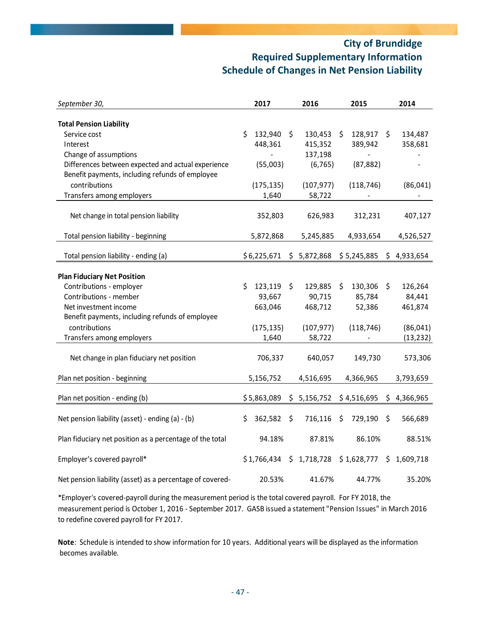# **City of Brundidge Required Supplementary Information Schedule of Changes in Net Pension Liability**

| September 30,                                             |     | 2017         |         | 2016                                                |         | 2015         |         | 2014                      |
|-----------------------------------------------------------|-----|--------------|---------|-----------------------------------------------------|---------|--------------|---------|---------------------------|
| <b>Total Pension Liability</b>                            |     |              |         |                                                     |         |              |         |                           |
| Service cost                                              | \$  | 132,940 \$   |         | $130,453$ \$                                        |         | $128,917$ \$ |         | 134,487                   |
| Interest                                                  |     | 448,361      |         | 415,352                                             |         | 389,942      |         | 358,681                   |
| Change of assumptions                                     |     |              |         | 137,198                                             |         |              |         |                           |
|                                                           |     |              |         |                                                     |         |              |         |                           |
| Differences between expected and actual experience        |     | (55,003)     |         | (6, 765)                                            |         | (87, 882)    |         |                           |
| Benefit payments, including refunds of employee           |     |              |         |                                                     |         |              |         |                           |
| contributions                                             |     | (175, 135)   |         | (107, 977)                                          |         | (118, 746)   |         | (86, 041)                 |
| Transfers among employers                                 |     | 1,640        |         | 58,722                                              |         |              |         |                           |
| Net change in total pension liability                     |     | 352,803      |         | 626,983                                             |         | 312,231      |         | 407,127                   |
|                                                           |     |              |         |                                                     |         |              |         |                           |
| Total pension liability - beginning                       |     | 5,872,868    |         | 5,245,885                                           |         | 4,933,654    |         | 4,526,527                 |
|                                                           |     |              |         |                                                     |         |              |         |                           |
| Total pension liability - ending (a)                      |     | \$6,225,671  |         | $$5,872,868$ $$5,245,885$ $$4,933,654$              |         |              |         |                           |
|                                                           |     |              |         |                                                     |         |              |         |                           |
| <b>Plan Fiduciary Net Position</b>                        |     |              |         |                                                     |         |              |         |                           |
| Contributions - employer                                  | \$  | $123,119$ \$ |         | $129,885$ \$                                        |         | 130,306 \$   |         | 126,264                   |
| Contributions - member                                    |     | 93,667       |         | 90,715                                              |         | 85,784       |         | 84,441                    |
| Net investment income                                     |     | 663,046      |         | 468,712                                             |         | 52,386       |         | 461,874                   |
| Benefit payments, including refunds of employee           |     |              |         |                                                     |         |              |         |                           |
| contributions                                             |     | (175, 135)   |         | (107, 977)                                          |         | (118, 746)   |         | (86, 041)                 |
| Transfers among employers                                 |     | 1,640        |         | 58,722                                              |         |              |         | (13, 232)                 |
|                                                           |     |              |         |                                                     |         |              |         |                           |
| Net change in plan fiduciary net position                 |     | 706,337      |         | 640,057                                             |         | 149,730      |         | 573,306                   |
|                                                           |     |              |         |                                                     |         |              |         |                           |
| Plan net position - beginning                             |     | 5,156,752    |         | 4,516,695                                           |         | 4,366,965    |         | 3,793,659                 |
|                                                           |     |              |         |                                                     |         |              |         |                           |
| Plan net position - ending (b)                            |     | \$5,863,089  |         | \$5,156,752                                         |         |              |         | $$4,516,695$ $$4,366,965$ |
|                                                           |     |              |         |                                                     | $\zeta$ |              | $\zeta$ |                           |
| Net pension liability (asset) - ending (a) - (b)          | \$. | 362,582      | $\zeta$ | 716,116                                             |         | 729,190      |         | 566,689                   |
| Plan fiduciary net position as a percentage of the total  |     | 94.18%       |         | 87.81%                                              |         | 86.10%       |         | 88.51%                    |
|                                                           |     |              |         |                                                     |         |              |         |                           |
| Employer's covered payroll*                               |     |              |         | $$1,766,434 \$ 1,718,728 \$ 1,628,777 \$ 1,609,718$ |         |              |         |                           |
|                                                           |     |              |         |                                                     |         |              |         |                           |
| Net pension liability (asset) as a percentage of covered- |     | 20.53%       |         | 41.67%                                              |         | 44.77%       |         | 35.20%                    |

\*Employer's covered‐payroll during the measurement period is the total covered payroll. For FY 2018, the measurement period is October 1, 2016 ‐ September 2017. GASB issued a statement "Pension Issues" in March 2016 to redefine covered payroll for FY 2017.

**Note**: Schedule is intended to show information for 10 years. Additional years will be displayed as the information becomes available.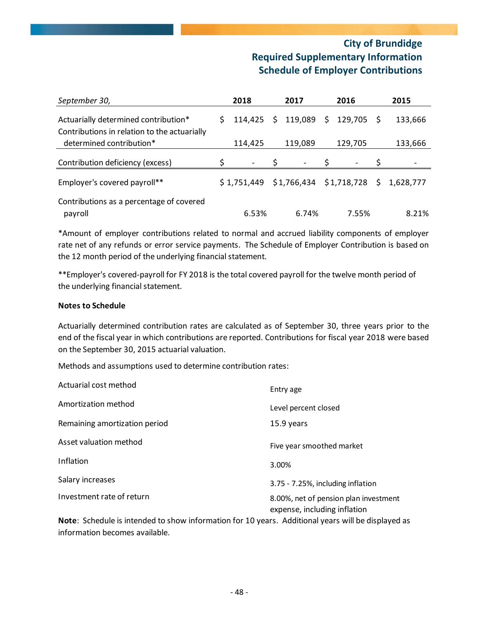# **City of Brundidge Required Supplementary Information Schedule of Employer Contributions**

| September 30,                                                                        |    | 2018    | 2017      |              | 2016         | 2015                                                |
|--------------------------------------------------------------------------------------|----|---------|-----------|--------------|--------------|-----------------------------------------------------|
| Actuarially determined contribution*<br>Contributions in relation to the actuarially | S. | 114,425 | \$119,089 | $\mathsf{S}$ | $129,705$ \$ | 133,666                                             |
| determined contribution*                                                             |    | 114,425 | 119,089   |              | 129,705      | 133,666                                             |
| Contribution deficiency (excess)                                                     |    | $\sim$  |           |              |              |                                                     |
| Employer's covered payroll**                                                         |    |         |           |              |              | $$1,751,449$ $$1,766,434$ $$1,718,728$ \$ 1,628,777 |
| Contributions as a percentage of covered<br>payroll                                  |    | 6.53%   | 6.74%     |              | 7.55%        | 8.21%                                               |

\*Amount of employer contributions related to normal and accrued liability components of employer rate net of any refunds or error service payments. The Schedule of Employer Contribution is based on the 12 month period of the underlying financial statement.

\*\*Employer's covered‐payroll for FY 2018 is the total covered payroll for the twelve month period of the underlying financial statement.

### **Notes to Schedule**

Actuarially determined contribution rates are calculated as of September 30, three years prior to the end of the fiscal year in which contributions are reported. Contributions for fiscal year 2018 were based on the September 30, 2015 actuarial valuation.

Methods and assumptions used to determine contribution rates:

| Actuarial cost method         | Entry age                                                             |
|-------------------------------|-----------------------------------------------------------------------|
| Amortization method           | Level percent closed                                                  |
| Remaining amortization period | 15.9 years                                                            |
| Asset valuation method        | Five year smoothed market                                             |
| Inflation                     | 3.00%                                                                 |
| Salary increases              | 3.75 - 7.25%, including inflation                                     |
| Investment rate of return     | 8.00%, net of pension plan investment<br>expense, including inflation |

**Note**: Schedule is intended to show information for 10 years. Additional years will be displayed as information becomes available.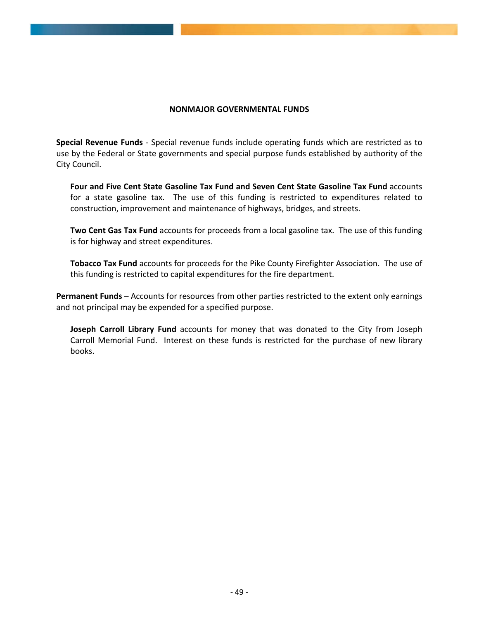#### **NONMAJOR GOVERNMENTAL FUNDS**

**Special Revenue Funds** ‐ Special revenue funds include operating funds which are restricted as to use by the Federal or State governments and special purpose funds established by authority of the City Council.

**Four and Five Cent State Gasoline Tax Fund and Seven Cent State Gasoline Tax Fund** accounts for a state gasoline tax. The use of this funding is restricted to expenditures related to construction, improvement and maintenance of highways, bridges, and streets.

**Two Cent Gas Tax Fund** accounts for proceeds from a local gasoline tax. The use of this funding is for highway and street expenditures.

**Tobacco Tax Fund** accounts for proceeds for the Pike County Firefighter Association. The use of this funding is restricted to capital expenditures for the fire department.

**Permanent Funds** – Accounts for resources from other parties restricted to the extent only earnings and not principal may be expended for a specified purpose.

**Joseph Carroll Library Fund** accounts for money that was donated to the City from Joseph Carroll Memorial Fund. Interest on these funds is restricted for the purchase of new library books.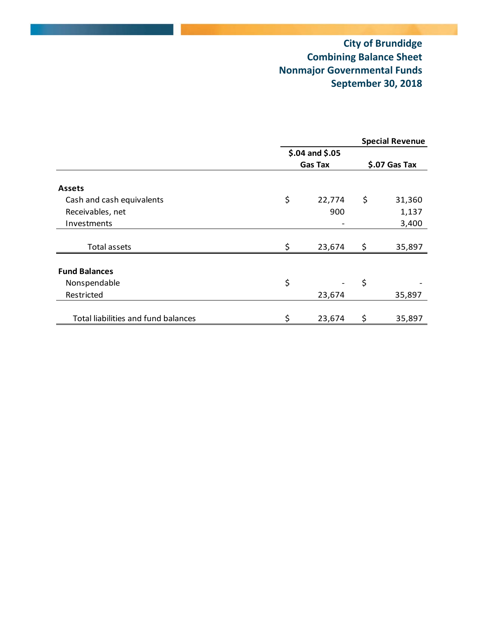# **City of Brundidge Combining Balance Sheet Nonmajor Governmental Funds September 30, 2018**

|                                     |                   |               | <b>Special Revenue</b> |  |
|-------------------------------------|-------------------|---------------|------------------------|--|
|                                     | $$.04$ and $$.05$ |               |                        |  |
|                                     | <b>Gas Tax</b>    | \$.07 Gas Tax |                        |  |
|                                     |                   |               |                        |  |
| <b>Assets</b>                       |                   |               |                        |  |
| Cash and cash equivalents           | \$<br>22,774      | \$            | 31,360                 |  |
| Receivables, net                    | 900               |               | 1,137                  |  |
| Investments                         |                   |               | 3,400                  |  |
|                                     |                   |               |                        |  |
| <b>Total assets</b>                 | \$<br>23,674      | \$            | 35,897                 |  |
|                                     |                   |               |                        |  |
| <b>Fund Balances</b>                |                   |               |                        |  |
| Nonspendable                        | \$                | \$            |                        |  |
| Restricted                          | 23,674            |               | 35,897                 |  |
|                                     |                   |               |                        |  |
| Total liabilities and fund balances | \$<br>23,674      | \$            | 35,897                 |  |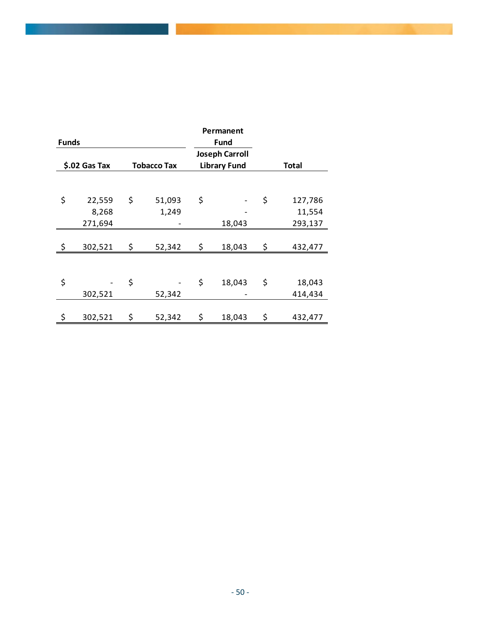|              |               |                    | Permanent             |       |         |  |
|--------------|---------------|--------------------|-----------------------|-------|---------|--|
| <b>Funds</b> |               |                    | <b>Fund</b>           |       |         |  |
|              |               |                    | <b>Joseph Carroll</b> |       |         |  |
|              | \$.02 Gas Tax | <b>Tobacco Tax</b> | <b>Library Fund</b>   | Total |         |  |
|              |               |                    |                       |       |         |  |
|              |               |                    |                       |       |         |  |
| \$           | 22,559        | \$<br>51,093       | \$                    | \$    | 127,786 |  |
|              | 8,268         | 1,249              |                       |       | 11,554  |  |
|              | 271,694       |                    | 18,043                |       | 293,137 |  |
|              |               |                    |                       |       |         |  |
| \$           | 302,521       | \$<br>52,342       | \$<br>18,043          | \$    | 432,477 |  |
|              |               |                    |                       |       |         |  |
|              |               |                    |                       |       |         |  |
| \$           |               | \$                 | \$<br>18,043          | \$    | 18,043  |  |
|              | 302,521       | 52,342             |                       |       | 414,434 |  |
|              |               |                    |                       |       |         |  |
| \$           | 302,521       | \$<br>52,342       | \$<br>18,043          | \$    | 432,477 |  |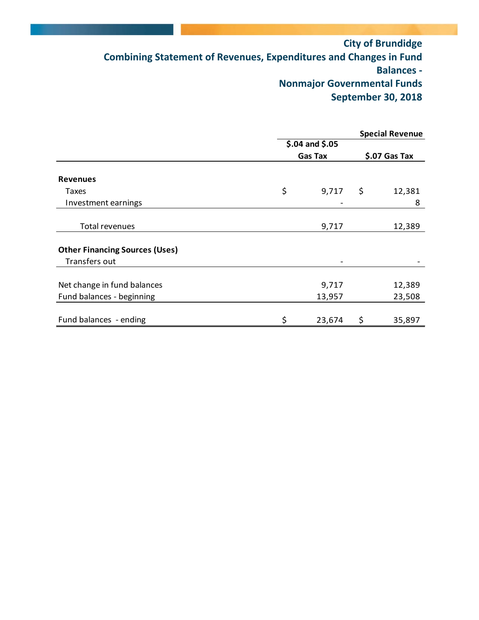# **City of Brundidge Combining Statement of Revenues, Expenditures and Changes in Fund Balances ‐ Nonmajor Governmental Funds September 30, 2018**

|                                       |                   |                     | <b>Special Revenue</b> |
|---------------------------------------|-------------------|---------------------|------------------------|
|                                       | $$.04$ and $$.05$ |                     |                        |
|                                       | <b>Gas Tax</b>    |                     | \$.07 Gas Tax          |
|                                       |                   |                     |                        |
| <b>Revenues</b>                       |                   |                     |                        |
| Taxes                                 | \$<br>9,717       | $\ddot{\mathsf{S}}$ | 12,381                 |
| Investment earnings                   |                   |                     | 8                      |
|                                       |                   |                     |                        |
| <b>Total revenues</b>                 | 9,717             |                     | 12,389                 |
|                                       |                   |                     |                        |
| <b>Other Financing Sources (Uses)</b> |                   |                     |                        |
| Transfers out                         |                   |                     |                        |
|                                       |                   |                     |                        |
| Net change in fund balances           | 9,717             |                     | 12,389                 |
| Fund balances - beginning             | 13,957            |                     | 23,508                 |
|                                       |                   |                     |                        |
| Fund balances - ending                | \$<br>23,674      | \$                  | 35,897                 |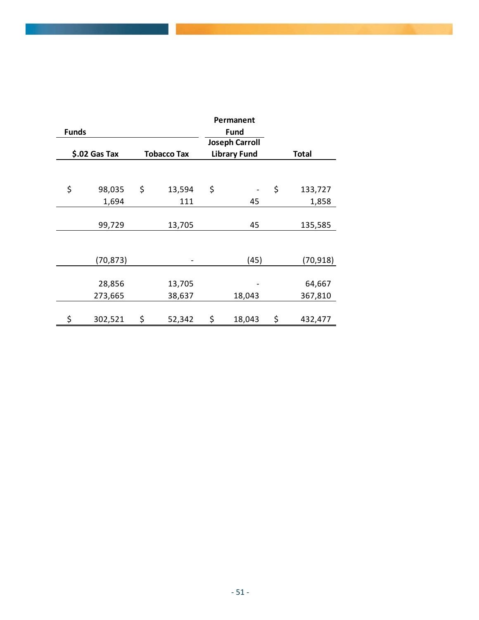| <b>Funds</b> |               |                    | Permanent<br>Fund<br><b>Joseph Carroll</b> |               |
|--------------|---------------|--------------------|--------------------------------------------|---------------|
|              | \$.02 Gas Tax | <b>Tobacco Tax</b> | <b>Library Fund</b>                        | <b>Total</b>  |
|              |               |                    |                                            |               |
|              |               |                    |                                            |               |
| \$           | 98,035        | \$<br>13,594       | \$                                         | \$<br>133,727 |
|              | 1,694         | 111                | 45                                         | 1,858         |
|              |               |                    |                                            |               |
|              | 99,729        | 13,705             | 45                                         | 135,585       |
|              |               |                    |                                            |               |
|              |               |                    |                                            |               |
|              | (70, 873)     |                    | (45)                                       | (70, 918)     |
|              |               |                    |                                            |               |
|              | 28,856        | 13,705             |                                            | 64,667        |
|              | 273,665       | 38,637             | 18,043                                     | 367,810       |
|              |               |                    |                                            |               |
| \$           | 302,521       | \$<br>52,342       | \$<br>18,043                               | \$<br>432,477 |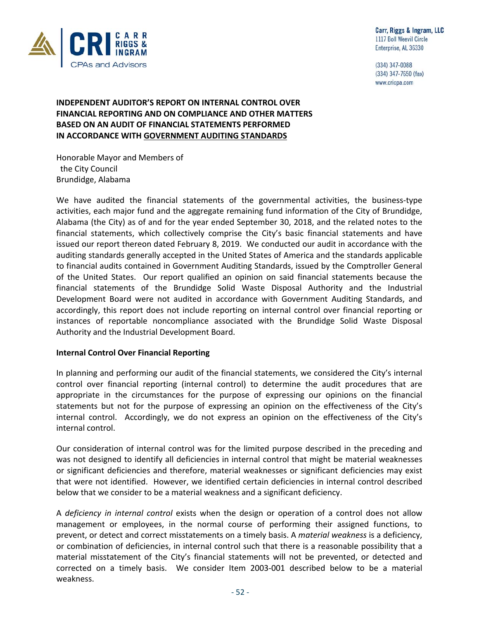

Carr, Riggs & Ingram, LLC 1117 Boll Weevil Circle Enterprise, AL 36330

(334) 347-0088 (334) 347-7650 (fax) www.cricpa.com

# **INDEPENDENT AUDITOR'S REPORT ON INTERNAL CONTROL OVER FINANCIAL REPORTING AND ON COMPLIANCE AND OTHER MATTERS BASED ON AN AUDIT OF FINANCIAL STATEMENTS PERFORMED IN ACCORDANCE WITH GOVERNMENT AUDITING STANDARDS**

Honorable Mayor and Members of the City Council Brundidge, Alabama

We have audited the financial statements of the governmental activities, the business-type activities, each major fund and the aggregate remaining fund information of the City of Brundidge, Alabama (the City) as of and for the year ended September 30, 2018, and the related notes to the financial statements, which collectively comprise the City's basic financial statements and have issued our report thereon dated February 8, 2019. We conducted our audit in accordance with the auditing standards generally accepted in the United States of America and the standards applicable to financial audits contained in Government Auditing Standards, issued by the Comptroller General of the United States. Our report qualified an opinion on said financial statements because the financial statements of the Brundidge Solid Waste Disposal Authority and the Industrial Development Board were not audited in accordance with Government Auditing Standards, and accordingly, this report does not include reporting on internal control over financial reporting or instances of reportable noncompliance associated with the Brundidge Solid Waste Disposal Authority and the Industrial Development Board.

### **Internal Control Over Financial Reporting**

In planning and performing our audit of the financial statements, we considered the City's internal control over financial reporting (internal control) to determine the audit procedures that are appropriate in the circumstances for the purpose of expressing our opinions on the financial statements but not for the purpose of expressing an opinion on the effectiveness of the City's internal control. Accordingly, we do not express an opinion on the effectiveness of the City's internal control.

Our consideration of internal control was for the limited purpose described in the preceding and was not designed to identify all deficiencies in internal control that might be material weaknesses or significant deficiencies and therefore, material weaknesses or significant deficiencies may exist that were not identified. However, we identified certain deficiencies in internal control described below that we consider to be a material weakness and a significant deficiency.

A *deficiency in internal control* exists when the design or operation of a control does not allow management or employees, in the normal course of performing their assigned functions, to prevent, or detect and correct misstatements on a timely basis. A *material weakness* is a deficiency, or combination of deficiencies, in internal control such that there is a reasonable possibility that a material misstatement of the City's financial statements will not be prevented, or detected and corrected on a timely basis. We consider Item 2003‐001 described below to be a material weakness.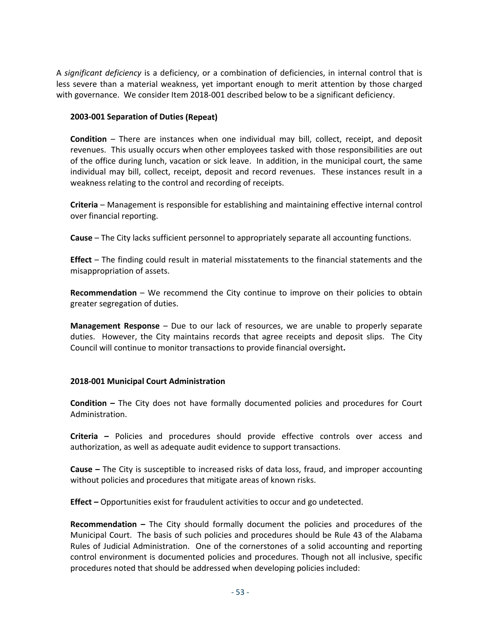A *significant deficiency* is a deficiency, or a combination of deficiencies, in internal control that is less severe than a material weakness, yet important enough to merit attention by those charged with governance. We consider Item 2018-001 described below to be a significant deficiency.

# **2003‐001 Separation of Duties (Repeat)**

**Condition** – There are instances when one individual may bill, collect, receipt, and deposit revenues. This usually occurs when other employees tasked with those responsibilities are out of the office during lunch, vacation or sick leave. In addition, in the municipal court, the same individual may bill, collect, receipt, deposit and record revenues. These instances result in a weakness relating to the control and recording of receipts.

**Criteria** – Management is responsible for establishing and maintaining effective internal control over financial reporting.

**Cause** – The City lacks sufficient personnel to appropriately separate all accounting functions.

**Effect** – The finding could result in material misstatements to the financial statements and the misappropriation of assets.

**Recommendation** – We recommend the City continue to improve on their policies to obtain greater segregation of duties.

**Management Response** – Due to our lack of resources, we are unable to properly separate duties. However, the City maintains records that agree receipts and deposit slips. The City Council will continue to monitor transactions to provide financial oversight**.**

# **2018‐001 Municipal Court Administration**

**Condition –** The City does not have formally documented policies and procedures for Court Administration.

**Criteria –** Policies and procedures should provide effective controls over access and authorization, as well as adequate audit evidence to support transactions.

**Cause –** The City is susceptible to increased risks of data loss, fraud, and improper accounting without policies and procedures that mitigate areas of known risks.

**Effect –** Opportunities exist for fraudulent activities to occur and go undetected.

**Recommendation –** The City should formally document the policies and procedures of the Municipal Court. The basis of such policies and procedures should be Rule 43 of the Alabama Rules of Judicial Administration. One of the cornerstones of a solid accounting and reporting control environment is documented policies and procedures. Though not all inclusive, specific procedures noted that should be addressed when developing policies included: